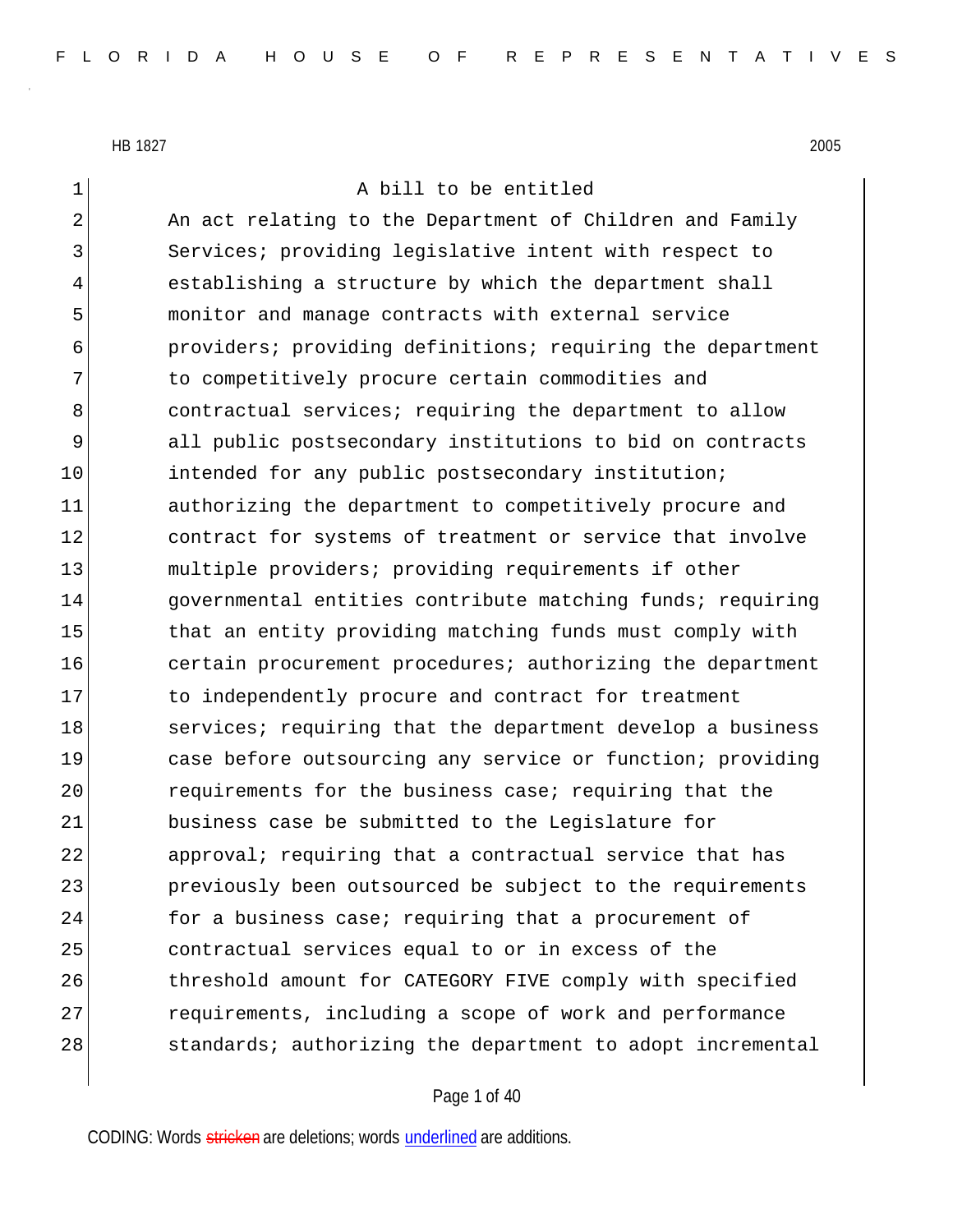| 1           | A bill to be entitled                                      |
|-------------|------------------------------------------------------------|
| 2           | An act relating to the Department of Children and Family   |
| 3           | Services; providing legislative intent with respect to     |
| 4           | establishing a structure by which the department shall     |
| 5           | monitor and manage contracts with external service         |
| 6           | providers; providing definitions; requiring the department |
| 7           | to competitively procure certain commodities and           |
| 8           | contractual services; requiring the department to allow    |
| $\mathsf 9$ | all public postsecondary institutions to bid on contracts  |
| 10          | intended for any public postsecondary institution;         |
| 11          | authorizing the department to competitively procure and    |
| 12          | contract for systems of treatment or service that involve  |
| 13          | multiple providers; providing requirements if other        |
| 14          | governmental entities contribute matching funds; requiring |
| 15          | that an entity providing matching funds must comply with   |
| 16          | certain procurement procedures; authorizing the department |
| 17          | to independently procure and contract for treatment        |
| 18          | services; requiring that the department develop a business |
| 19          | case before outsourcing any service or function; providing |
| 20          | requirements for the business case; requiring that the     |
| 21          | business case be submitted to the Legislature for          |
| 22          | approval; requiring that a contractual service that has    |
| 23          | previously been outsourced be subject to the requirements  |
| 24          | for a business case; requiring that a procurement of       |
| 25          | contractual services equal to or in excess of the          |
| 26          | threshold amount for CATEGORY FIVE comply with specified   |
| 27          | requirements, including a scope of work and performance    |
| 28          | standards; authorizing the department to adopt incremental |

## Page 1 of 40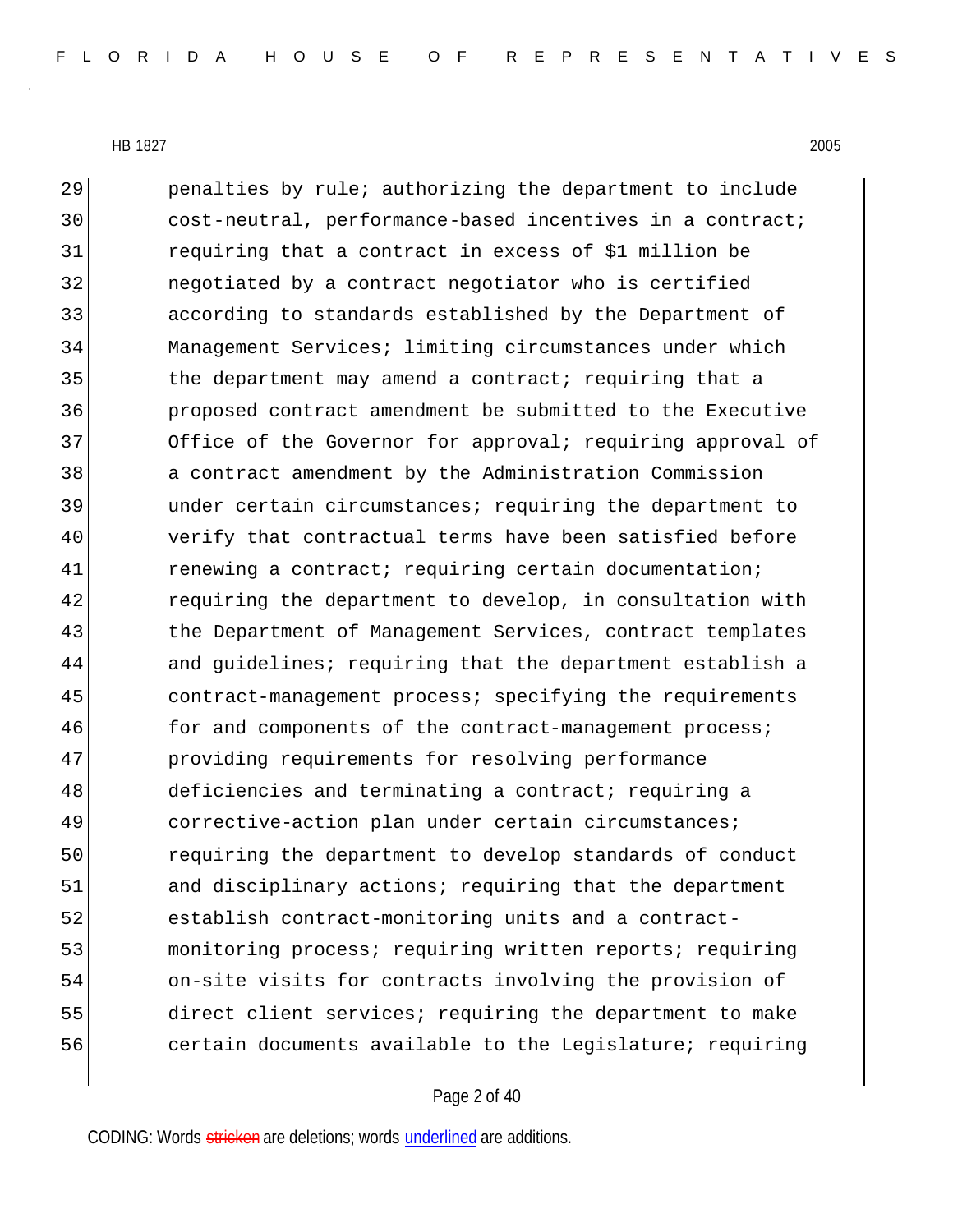penalties by rule; authorizing the department to include 30 cost-neutral, performance-based incentives in a contract; requiring that a contract in excess of \$1 million be negotiated by a contract negotiator who is certified according to standards established by the Department of Management Services; limiting circumstances under which 35 the department may amend a contract; requiring that a proposed contract amendment be submitted to the Executive 37 Office of the Governor for approval; requiring approval of a contract amendment by the Administration Commission under certain circumstances; requiring the department to verify that contractual terms have been satisfied before 41 renewing a contract; requiring certain documentation; 42 requiring the department to develop, in consultation with 43 black of Management Services, contract templates and guidelines; requiring that the department establish a contract-management process; specifying the requirements 46 for and components of the contract-management process; providing requirements for resolving performance 48 deficiencies and terminating a contract; requiring a 49 corrective-action plan under certain circumstances; requiring the department to develop standards of conduct 51 and disciplinary actions; requiring that the department establish contract-monitoring units and a contract- monitoring process; requiring written reports; requiring on-site visits for contracts involving the provision of direct client services; requiring the department to make 56 certain documents available to the Legislature; requiring

## Page 2 of 40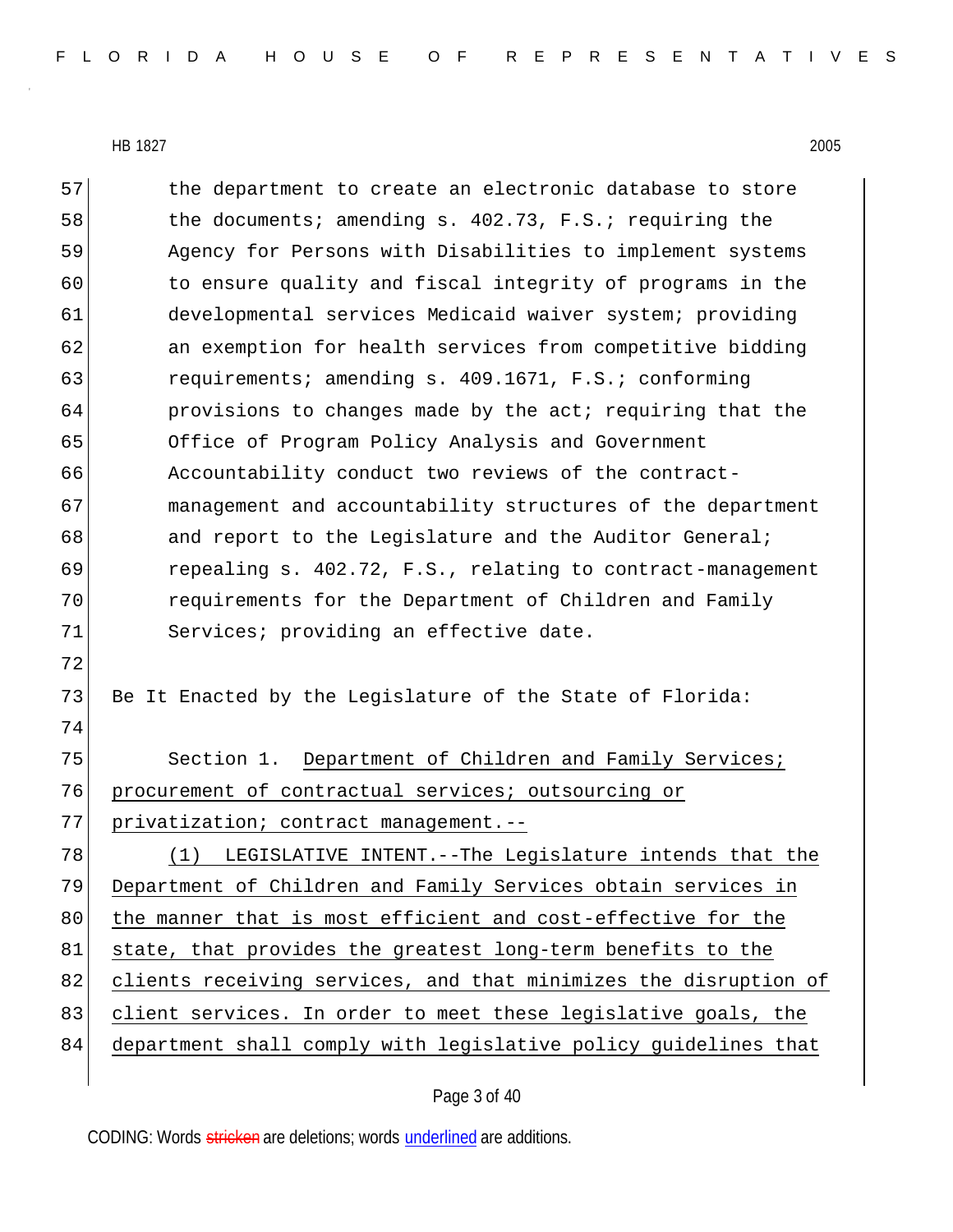57 the department to create an electronic database to store 58 the documents; amending s. 402.73, F.S.; requiring the 59 Agency for Persons with Disabilities to implement systems 60 to ensure quality and fiscal integrity of programs in the 61 developmental services Medicaid waiver system; providing 62 an exemption for health services from competitive bidding 63 requirements; amending s. 409.1671, F.S.; conforming 64 **provisions to changes made by the act; requiring that the** 65 Office of Program Policy Analysis and Government 66 Accountability conduct two reviews of the contract-67 management and accountability structures of the department 68 and report to the Legislature and the Auditor General; 69 repealing s. 402.72, F.S., relating to contract-management 70 requirements for the Department of Children and Family 71 Services; providing an effective date. 72 73 Be It Enacted by the Legislature of the State of Florida: 74 75 Section 1. Department of Children and Family Services; 76 procurement of contractual services; outsourcing or 77 privatization; contract management.--78 (1) LEGISLATIVE INTENT.--The Legislature intends that the 79 Department of Children and Family Services obtain services in 80 the manner that is most efficient and cost-effective for the 81 state, that provides the greatest long-term benefits to the 82 clients receiving services, and that minimizes the disruption of 83 client services. In order to meet these legislative goals, the

84 department shall comply with legislative policy guidelines that

Page 3 of 40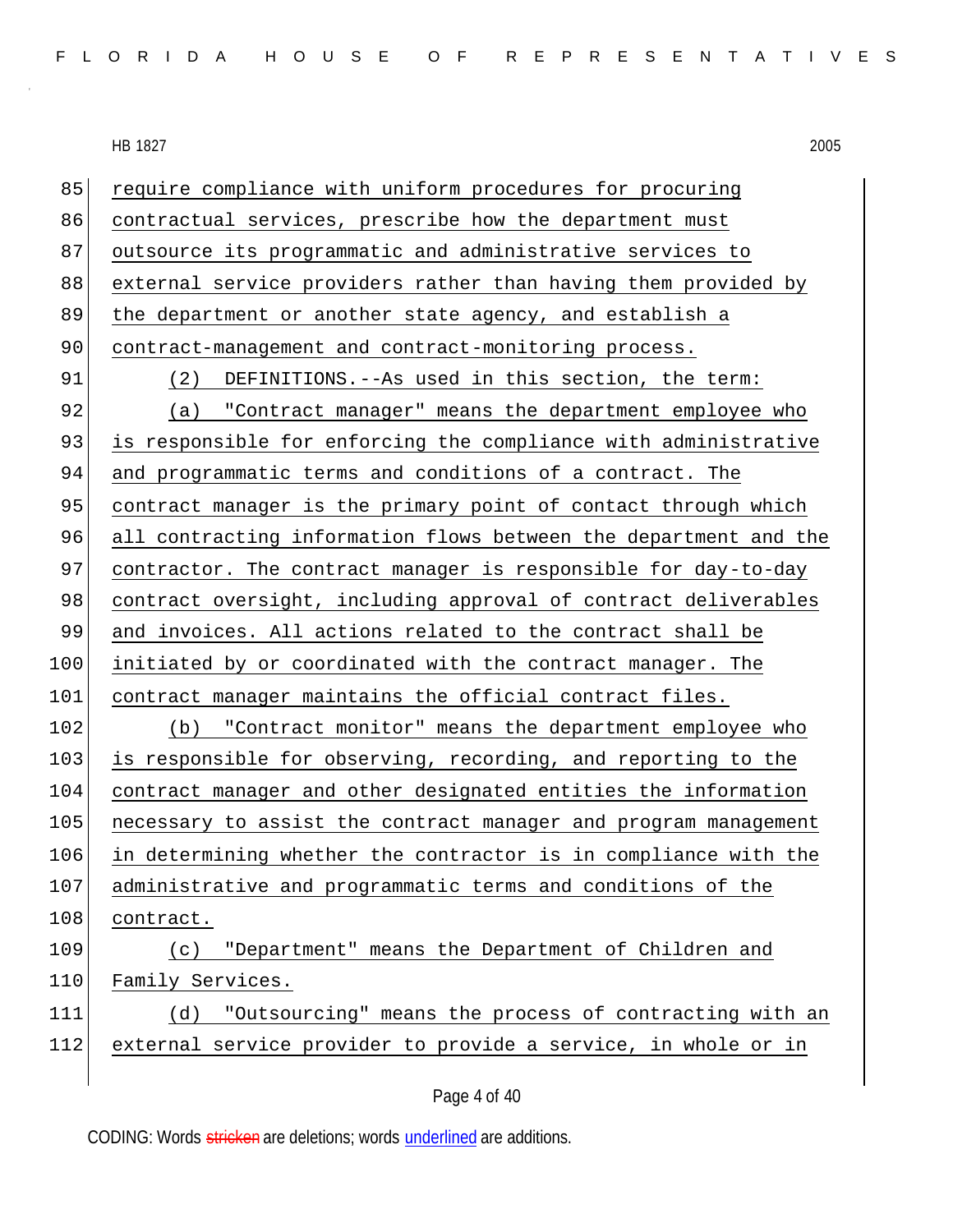85 require compliance with uniform procedures for procuring 86 contractual services, prescribe how the department must 87 outsource its programmatic and administrative services to 88 external service providers rather than having them provided by 89 | the department or another state agency, and establish a 90 contract-management and contract-monitoring process. 91 (2) DEFINITIONS.--As used in this section, the term: 92 (a) "Contract manager" means the department employee who 93 is responsible for enforcing the compliance with administrative 94 and programmatic terms and conditions of a contract. The 95 contract manager is the primary point of contact through which 96 all contracting information flows between the department and the 97 contractor. The contract manager is responsible for day-to-day 98 contract oversight, including approval of contract deliverables 99 and invoices. All actions related to the contract shall be 100 initiated by or coordinated with the contract manager. The 101 contract manager maintains the official contract files. 102 (b) "Contract monitor" means the department employee who 103 is responsible for observing, recording, and reporting to the 104 contract manager and other designated entities the information 105 necessary to assist the contract manager and program management 106 in determining whether the contractor is in compliance with the 107 administrative and programmatic terms and conditions of the 108 contract. 109 (c) "Department" means the Department of Children and 110 Family Services. 111 (d) "Outsourcing" means the process of contracting with an 112 external service provider to provide a service, in whole or in

Page 4 of 40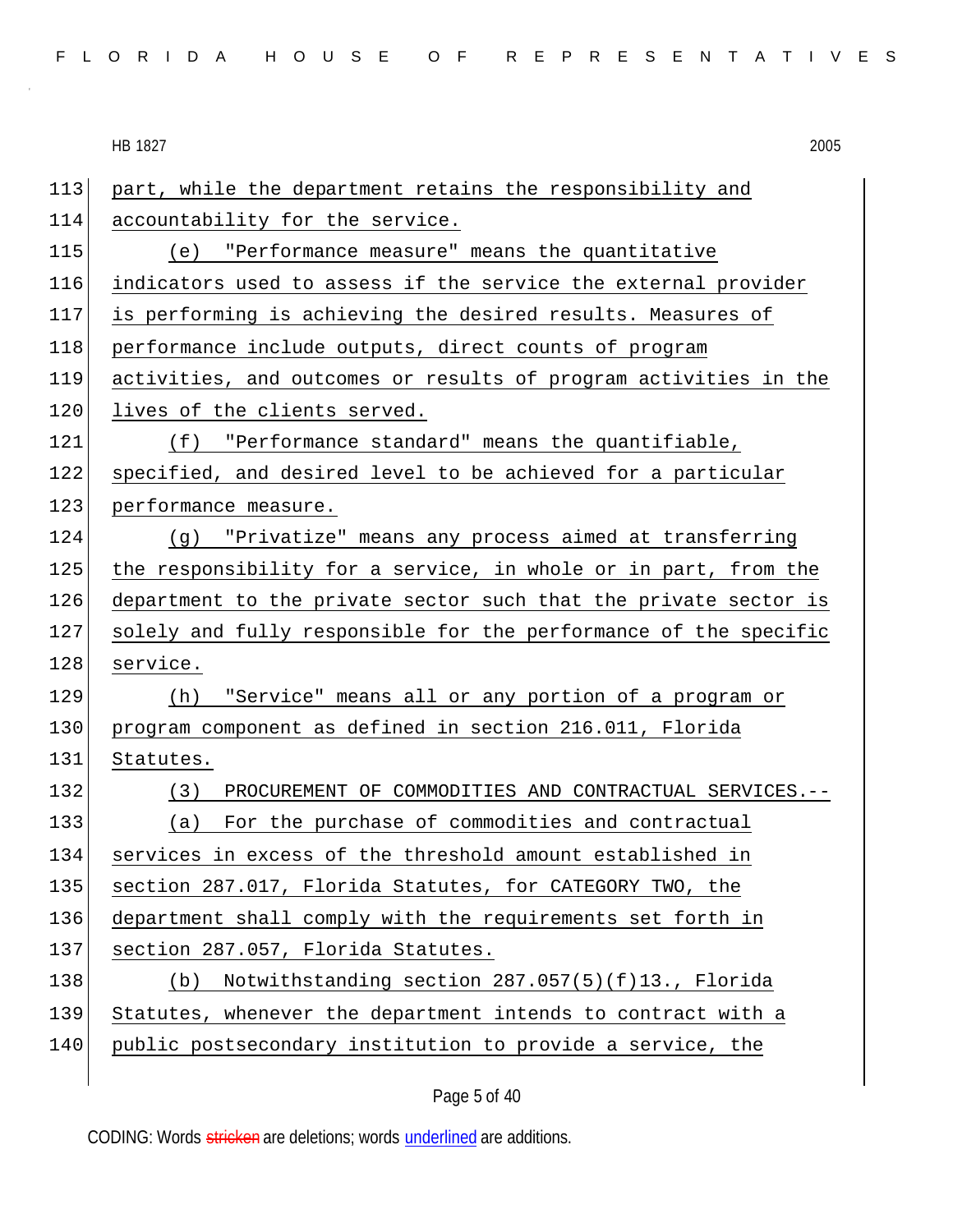| FLORIDA HOUSE OF REPRESENTATIVES |  |  |  |  |  |  |  |  |  |  |  |  |  |  |  |  |  |  |  |  |  |  |  |  |  |  |
|----------------------------------|--|--|--|--|--|--|--|--|--|--|--|--|--|--|--|--|--|--|--|--|--|--|--|--|--|--|
|----------------------------------|--|--|--|--|--|--|--|--|--|--|--|--|--|--|--|--|--|--|--|--|--|--|--|--|--|--|

HB 1827 2005 113 part, while the department retains the responsibility and 114 accountability for the service. 115 (e) "Performance measure" means the quantitative 116 indicators used to assess if the service the external provider 117 is performing is achieving the desired results. Measures of 118 performance include outputs, direct counts of program 119 activities, and outcomes or results of program activities in the 120 lives of the clients served. 121 (f) "Performance standard" means the quantifiable, 122 specified, and desired level to be achieved for a particular 123 performance measure. 124 (g) "Privatize" means any process aimed at transferring 125 | the responsibility for a service, in whole or in part, from the 126 department to the private sector such that the private sector is 127 solely and fully responsible for the performance of the specific 128 service. 129 (h) "Service" means all or any portion of a program or 130 program component as defined in section 216.011, Florida 131 Statutes. 132 (3) PROCUREMENT OF COMMODITIES AND CONTRACTUAL SERVICES.-- 133 (a) For the purchase of commodities and contractual 134 services in excess of the threshold amount established in 135 section 287.017, Florida Statutes, for CATEGORY TWO, the 136 department shall comply with the requirements set forth in 137 section 287.057, Florida Statutes. 138 (b) Notwithstanding section 287.057(5)(f)13., Florida 139 Statutes, whenever the department intends to contract with a 140 public postsecondary institution to provide a service, the

Page 5 of 40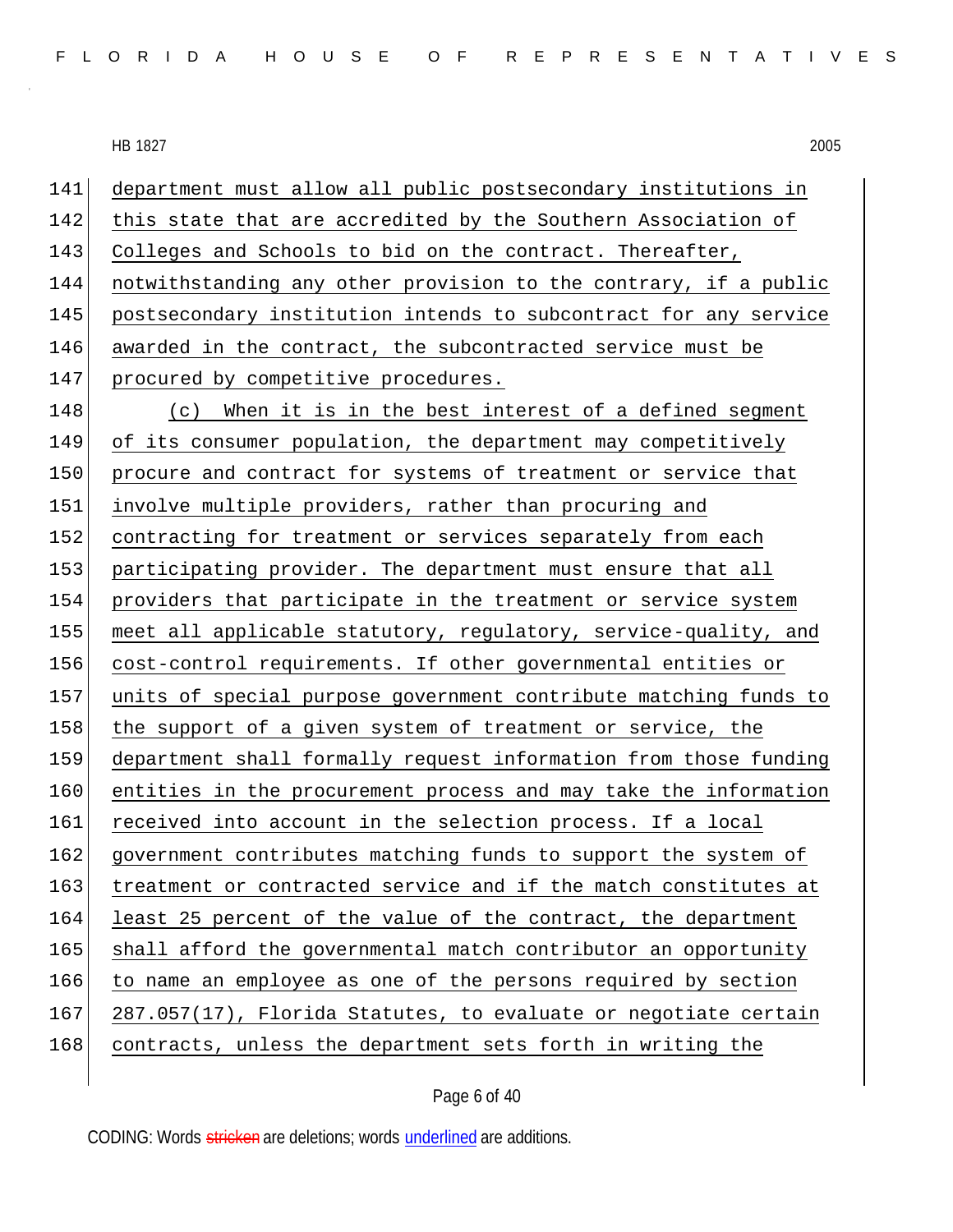141 department must allow all public postsecondary institutions in 142 this state that are accredited by the Southern Association of 143 Colleges and Schools to bid on the contract. Thereafter, 144 notwithstanding any other provision to the contrary, if a public 145 postsecondary institution intends to subcontract for any service 146 awarded in the contract, the subcontracted service must be 147 procured by competitive procedures. 148 (c) When it is in the best interest of a defined segment 149 of its consumer population, the department may competitively 150 procure and contract for systems of treatment or service that 151 involve multiple providers, rather than procuring and 152 contracting for treatment or services separately from each 153 participating provider. The department must ensure that all 154 providers that participate in the treatment or service system 155 meet all applicable statutory, regulatory, service-quality, and 156 cost-control requirements. If other governmental entities or 157 units of special purpose government contribute matching funds to 158 the support of a given system of treatment or service, the 159 department shall formally request information from those funding 160 entities in the procurement process and may take the information 161 received into account in the selection process. If a local 162 government contributes matching funds to support the system of 163 treatment or contracted service and if the match constitutes at 164 least 25 percent of the value of the contract, the department 165 shall afford the governmental match contributor an opportunity 166 to name an employee as one of the persons required by section  $167$  287.057(17), Florida Statutes, to evaluate or negotiate certain 168 contracts, unless the department sets forth in writing the

Page 6 of 40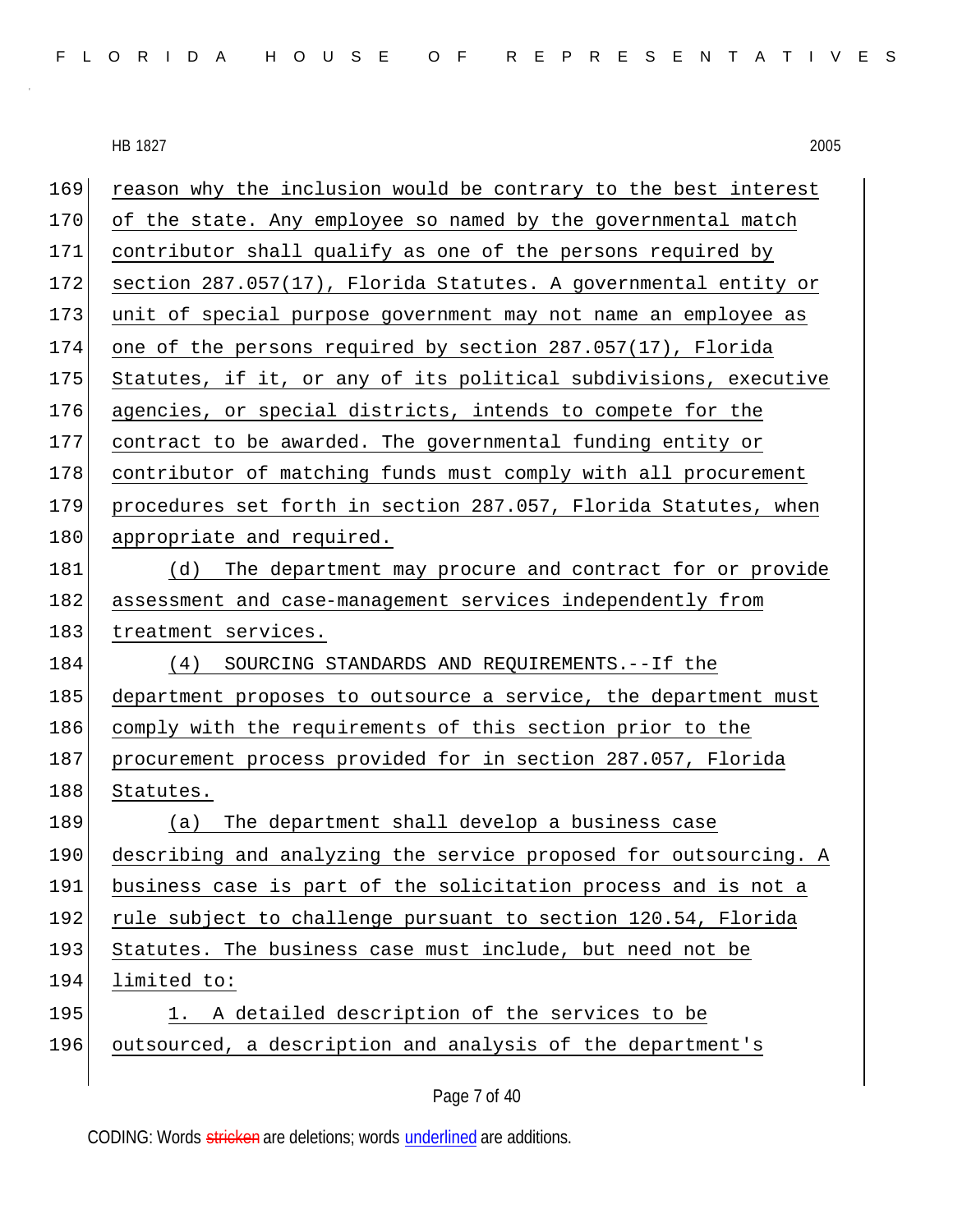169 reason why the inclusion would be contrary to the best interest 170 of the state. Any employee so named by the governmental match 171 contributor shall qualify as one of the persons required by 172 section 287.057(17), Florida Statutes. A governmental entity or 173 unit of special purpose government may not name an employee as 174 one of the persons required by section 287.057(17), Florida 175 Statutes, if it, or any of its political subdivisions, executive 176 agencies, or special districts, intends to compete for the 177 contract to be awarded. The governmental funding entity or 178 contributor of matching funds must comply with all procurement 179 procedures set forth in section 287.057, Florida Statutes, when 180 appropriate and required. 181 (d) The department may procure and contract for or provide 182 assessment and case-management services independently from 183 treatment services. 184 (4) SOURCING STANDARDS AND REQUIREMENTS.--If the 185 department proposes to outsource a service, the department must 186 comply with the requirements of this section prior to the 187 procurement process provided for in section 287.057, Florida 188 Statutes. 189 (a) The department shall develop a business case 190 describing and analyzing the service proposed for outsourcing. A 191 business case is part of the solicitation process and is not a 192 rule subject to challenge pursuant to section 120.54, Florida 193 Statutes. The business case must include, but need not be 194 limited to: 195 1. A detailed description of the services to be 196 outsourced, a description and analysis of the department's

Page 7 of 40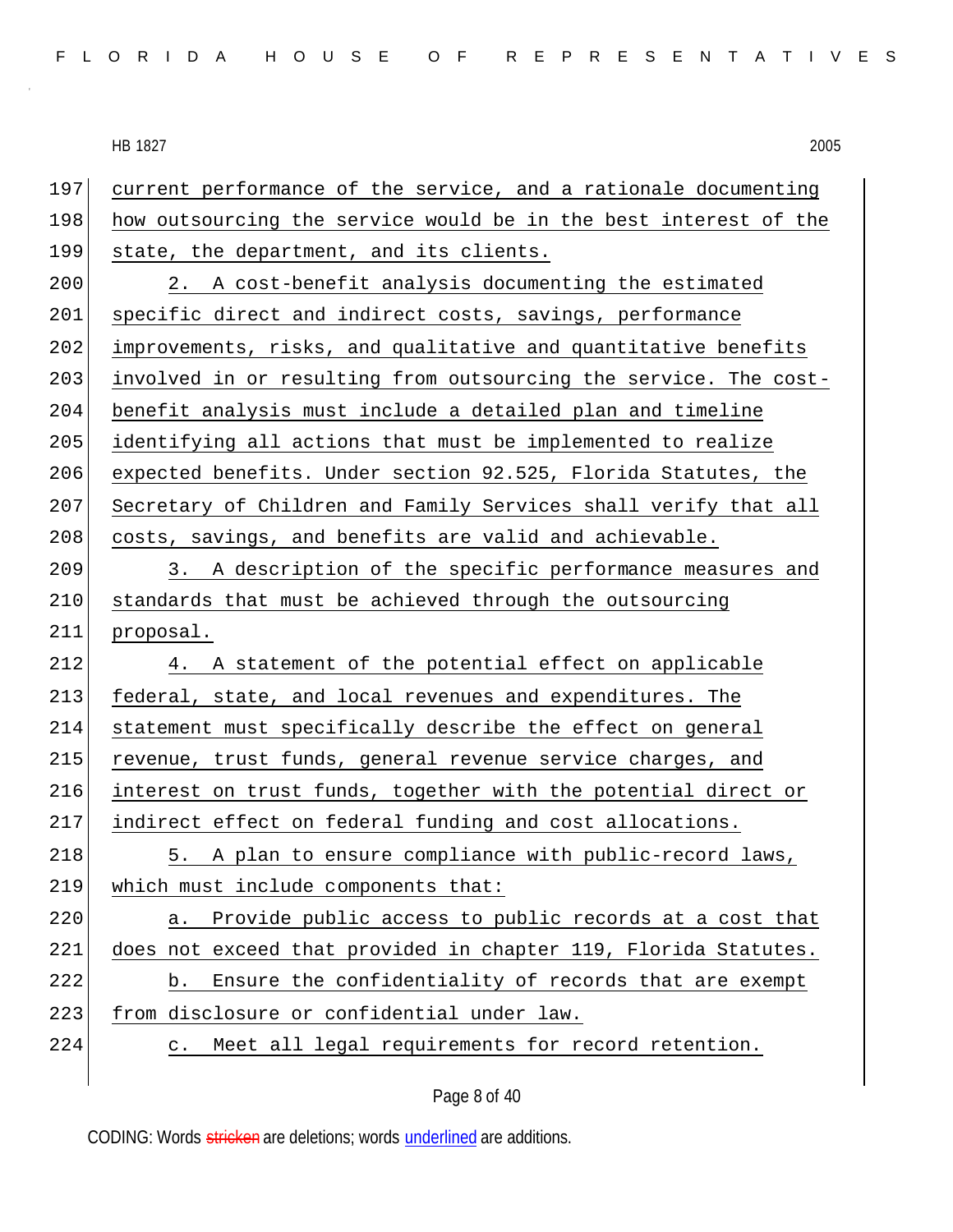197 current performance of the service, and a rationale documenting 198 how outsourcing the service would be in the best interest of the 199 state, the department, and its clients. 200 2. A cost-benefit analysis documenting the estimated 201 specific direct and indirect costs, savings, performance 202 improvements, risks, and qualitative and quantitative benefits 203 involved in or resulting from outsourcing the service. The cost-204 benefit analysis must include a detailed plan and timeline 205 identifying all actions that must be implemented to realize 206 expected benefits. Under section 92.525, Florida Statutes, the 207 Secretary of Children and Family Services shall verify that all 208 costs, savings, and benefits are valid and achievable. 209 3. A description of the specific performance measures and 210 standards that must be achieved through the outsourcing 211 proposal. 212 4. A statement of the potential effect on applicable 213 federal, state, and local revenues and expenditures. The 214 statement must specifically describe the effect on general 215 revenue, trust funds, general revenue service charges, and 216 interest on trust funds, together with the potential direct or 217 indirect effect on federal funding and cost allocations. 218 5. A plan to ensure compliance with public-record laws, 219 which must include components that: 220 a. Provide public access to public records at a cost that 221 does not exceed that provided in chapter 119, Florida Statutes. 222 b. Ensure the confidentiality of records that are exempt 223 from disclosure or confidential under law. 224 c. Meet all legal requirements for record retention.

Page 8 of 40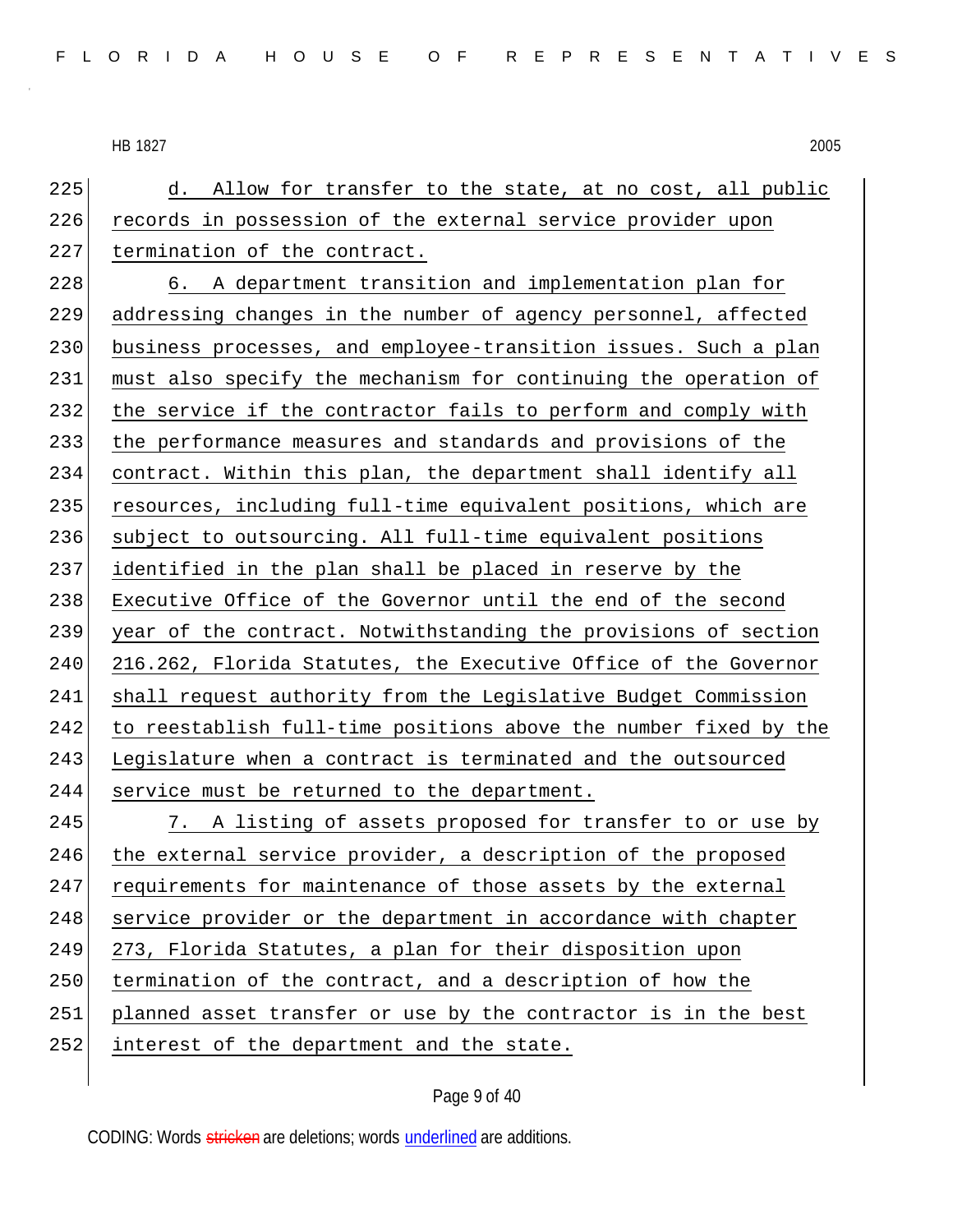225 d. Allow for transfer to the state, at no cost, all public 226 records in possession of the external service provider upon 227 termination of the contract.

228 6. A department transition and implementation plan for 229 addressing changes in the number of agency personnel, affected 230 business processes, and employee-transition issues. Such a plan 231 must also specify the mechanism for continuing the operation of 232 the service if the contractor fails to perform and comply with 233 the performance measures and standards and provisions of the 234 contract. Within this plan, the department shall identify all 235 resources, including full-time equivalent positions, which are 236 subject to outsourcing. All full-time equivalent positions 237 identified in the plan shall be placed in reserve by the 238 Executive Office of the Governor until the end of the second 239 year of the contract. Notwithstanding the provisions of section 240 216.262, Florida Statutes, the Executive Office of the Governor 241 shall request authority from the Legislative Budget Commission 242 to reestablish full-time positions above the number fixed by the 243 Legislature when a contract is terminated and the outsourced 244 service must be returned to the department.

245 7. A listing of assets proposed for transfer to or use by 246 the external service provider, a description of the proposed 247 requirements for maintenance of those assets by the external 248 service provider or the department in accordance with chapter 249 273, Florida Statutes, a plan for their disposition upon 250 termination of the contract, and a description of how the 251 planned asset transfer or use by the contractor is in the best 252 interest of the department and the state.

Page 9 of 40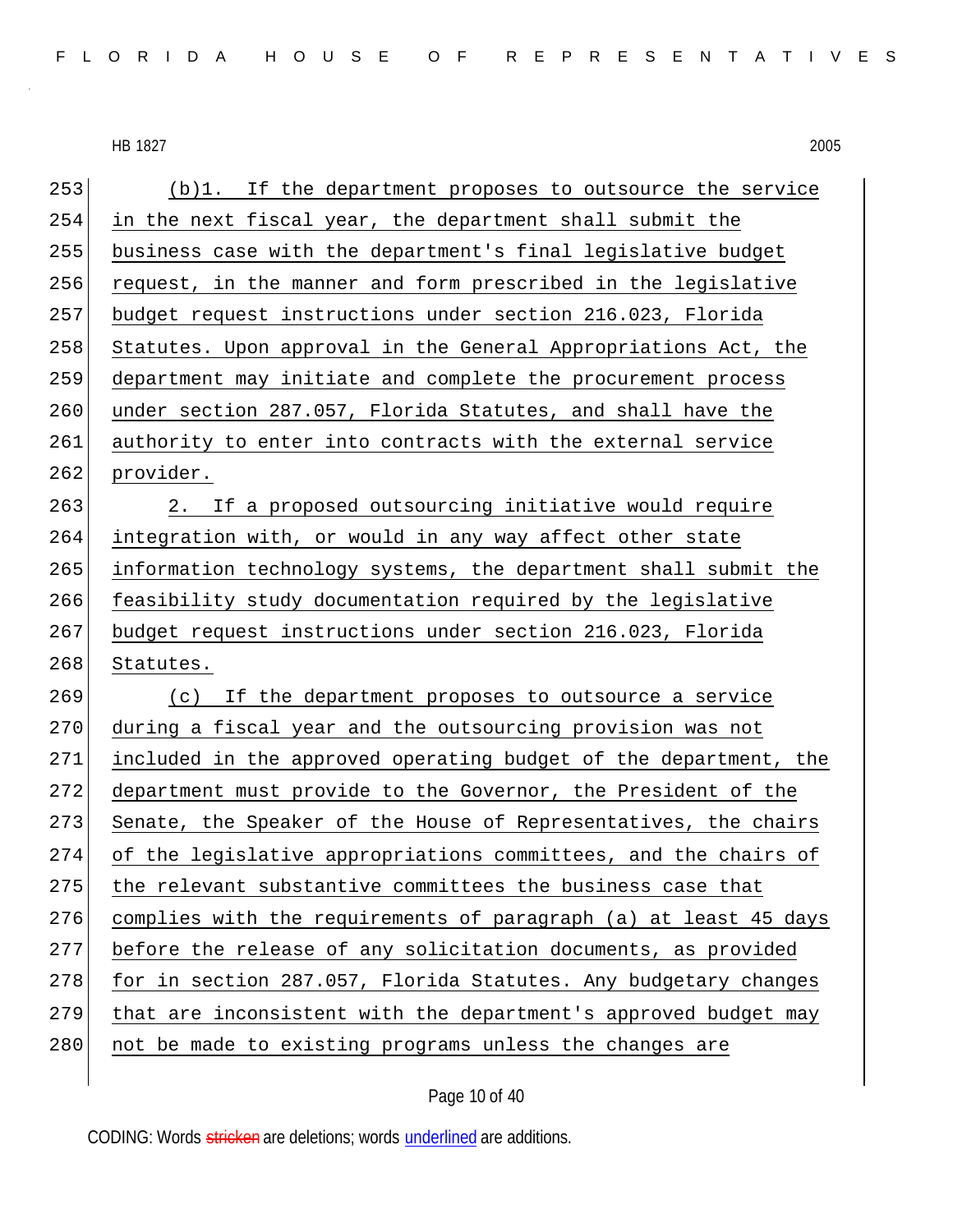| 253 | (b)1. If the department proposes to outsource the service        |
|-----|------------------------------------------------------------------|
| 254 | in the next fiscal year, the department shall submit the         |
| 255 | business case with the department's final legislative budget     |
| 256 | request, in the manner and form prescribed in the legislative    |
| 257 | budget request instructions under section 216.023, Florida       |
| 258 | Statutes. Upon approval in the General Appropriations Act, the   |
| 259 | department may initiate and complete the procurement process     |
| 260 | under section 287.057, Florida Statutes, and shall have the      |
| 261 | authority to enter into contracts with the external service      |
| 262 | provider.                                                        |
| 263 | 2. If a proposed outsourcing initiative would require            |
| 264 | integration with, or would in any way affect other state         |
| 265 | information technology systems, the department shall submit the  |
| 266 | feasibility study documentation required by the legislative      |
| 267 | budget request instructions under section 216.023, Florida       |
| 268 | Statutes.                                                        |
| 269 | (c) If the department proposes to outsource a service            |
| 270 | during a fiscal year and the outsourcing provision was not       |
| 271 | included in the approved operating budget of the department, the |
| 272 | department must provide to the Governor, the President of the    |
| 273 | Senate, the Speaker of the House of Representatives, the chairs  |
| 274 | of the legislative appropriations committees, and the chairs of  |
| 275 | the relevant substantive committees the business case that       |
| 276 | complies with the requirements of paragraph (a) at least 45 days |
| 277 | before the release of any solicitation documents, as provided    |
| 278 | for in section 287.057, Florida Statutes. Any budgetary changes  |
| 279 | that are inconsistent with the department's approved budget may  |
| 280 | not be made to existing programs unless the changes are          |
|     |                                                                  |

Page 10 of 40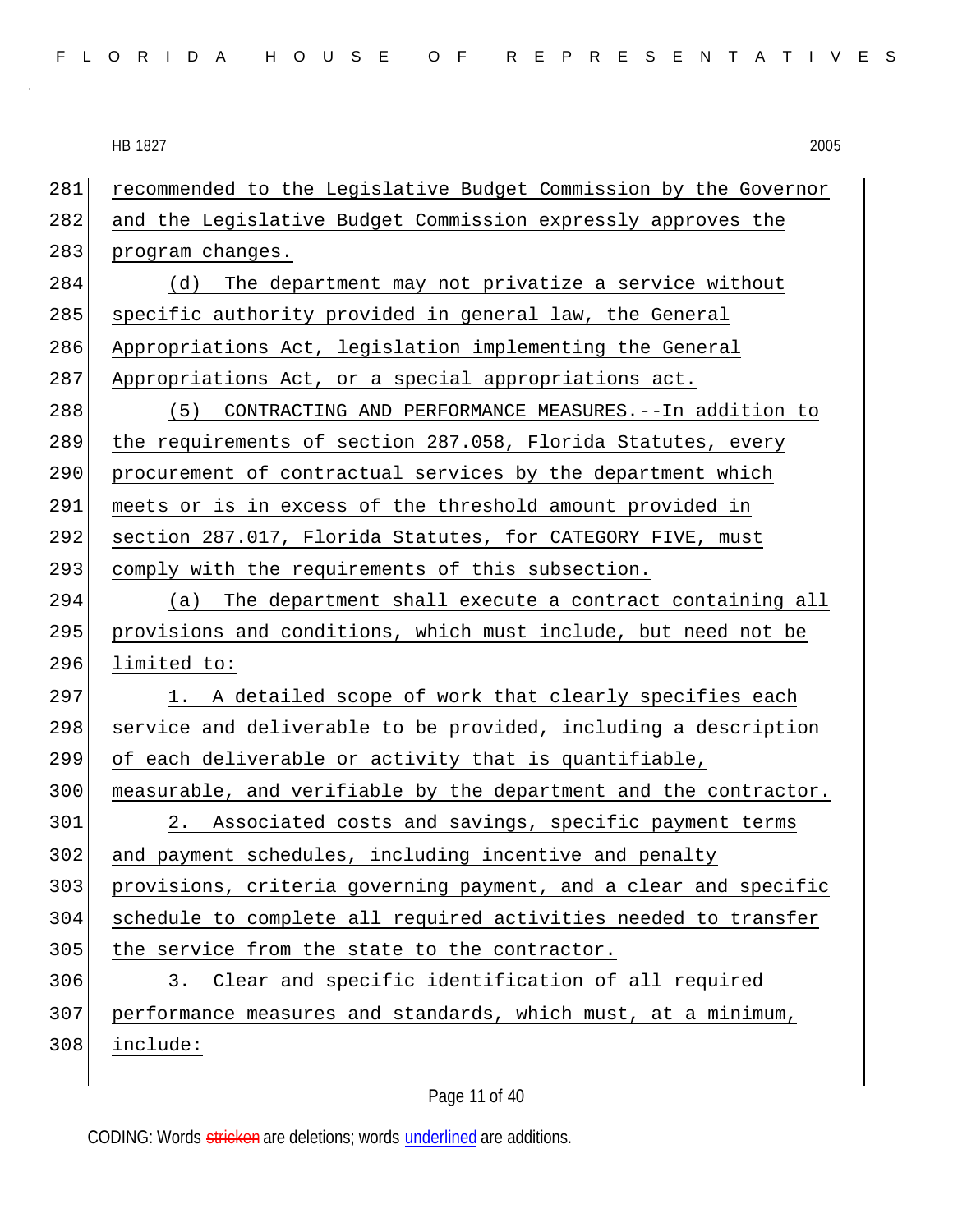281 recommended to the Legislative Budget Commission by the Governor 282 and the Legislative Budget Commission expressly approves the 283 program changes. 284 (d) The department may not privatize a service without 285 specific authority provided in general law, the General 286 Appropriations Act, legislation implementing the General 287 Appropriations Act, or a special appropriations act. 288 (5) CONTRACTING AND PERFORMANCE MEASURES.--In addition to 289 the requirements of section 287.058, Florida Statutes, every 290 procurement of contractual services by the department which 291 meets or is in excess of the threshold amount provided in 292 section 287.017, Florida Statutes, for CATEGORY FIVE, must 293 comply with the requirements of this subsection.  $294$  (a) The department shall execute a contract containing all 295 provisions and conditions, which must include, but need not be 296 limited to: 297 1. A detailed scope of work that clearly specifies each 298 service and deliverable to be provided, including a description 299 of each deliverable or activity that is quantifiable, 300 measurable, and verifiable by the department and the contractor. 301 2. Associated costs and savings, specific payment terms 302 and payment schedules, including incentive and penalty 303 provisions, criteria governing payment, and a clear and specific 304 schedule to complete all required activities needed to transfer 305 the service from the state to the contractor. 306 3. Clear and specific identification of all required 307 performance measures and standards, which must, at a minimum, 308 include:

## Page 11 of 40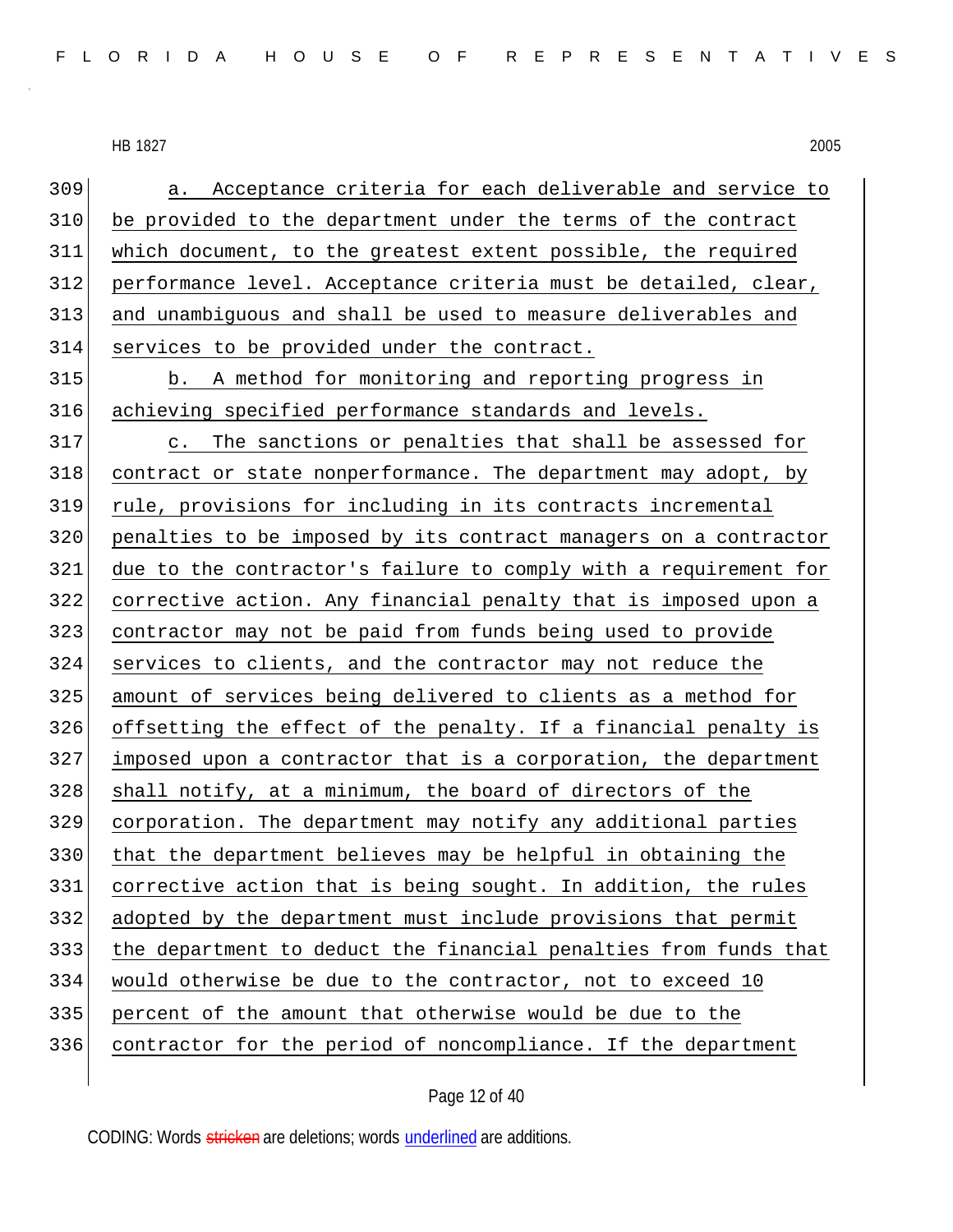a. Acceptance criteria for each deliverable and service to be provided to the department under the terms of the contract which document, to the greatest extent possible, the required performance level. Acceptance criteria must be detailed, clear, and unambiguous and shall be used to measure deliverables and services to be provided under the contract. b. A method for monitoring and reporting progress in achieving specified performance standards and levels. c. The sanctions or penalties that shall be assessed for contract or state nonperformance. The department may adopt, by rule, provisions for including in its contracts incremental penalties to be imposed by its contract managers on a contractor due to the contractor's failure to comply with a requirement for corrective action. Any financial penalty that is imposed upon a contractor may not be paid from funds being used to provide services to clients, and the contractor may not reduce the amount of services being delivered to clients as a method for offsetting the effect of the penalty. If a financial penalty is imposed upon a contractor that is a corporation, the department 328 shall notify, at a minimum, the board of directors of the corporation. The department may notify any additional parties 330 that the department believes may be helpful in obtaining the corrective action that is being sought. In addition, the rules adopted by the department must include provisions that permit the department to deduct the financial penalties from funds that would otherwise be due to the contractor, not to exceed 10 percent of the amount that otherwise would be due to the contractor for the period of noncompliance. If the department

Page 12 of 40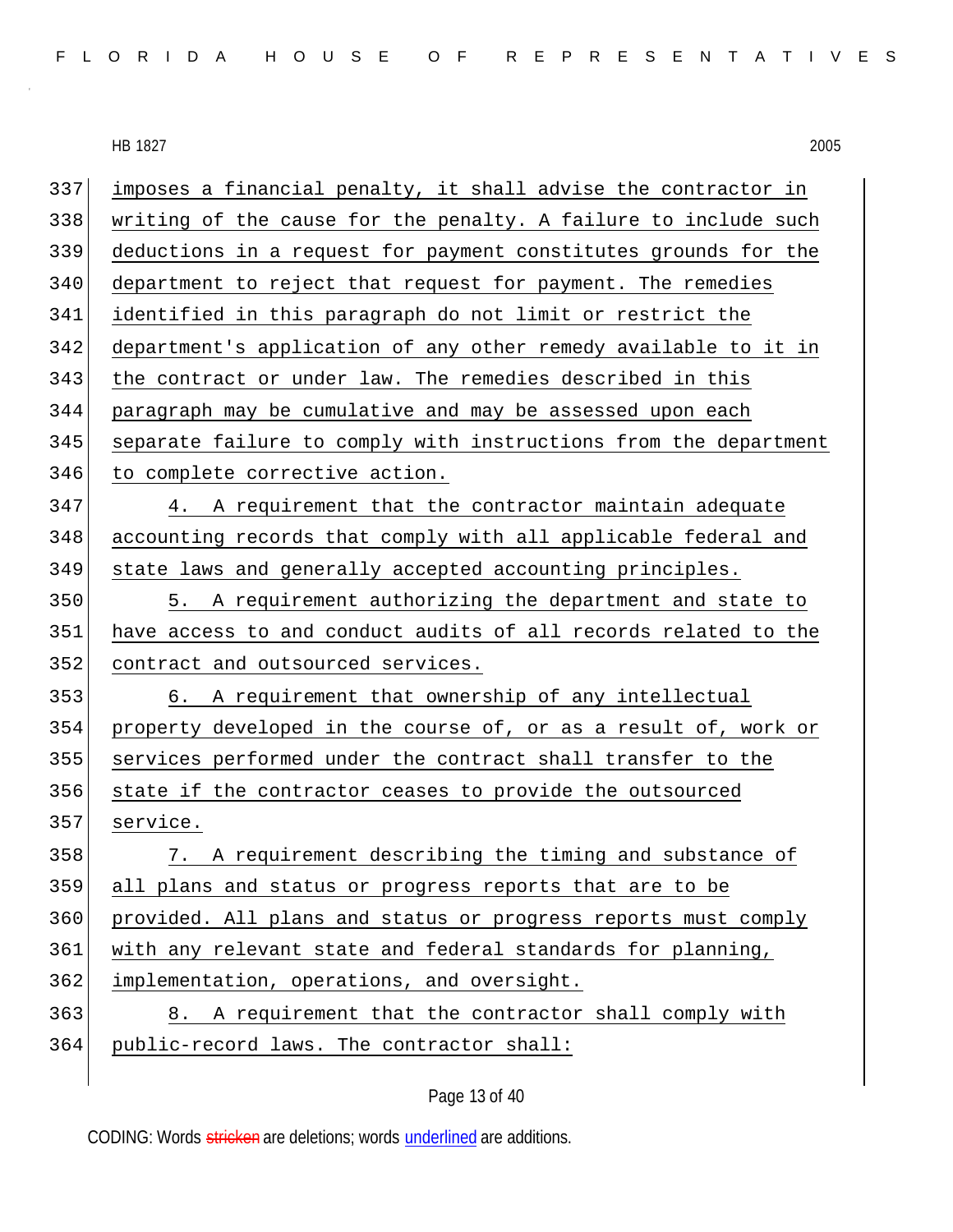| FLORIDA HOUSE OF REPRESENTATIVES |  |  |  |  |  |  |  |  |  |  |  |  |  |  |  |  |  |  |  |  |  |  |  |  |  |  |
|----------------------------------|--|--|--|--|--|--|--|--|--|--|--|--|--|--|--|--|--|--|--|--|--|--|--|--|--|--|
|----------------------------------|--|--|--|--|--|--|--|--|--|--|--|--|--|--|--|--|--|--|--|--|--|--|--|--|--|--|

| 337 | imposes a financial penalty, it shall advise the contractor in   |
|-----|------------------------------------------------------------------|
| 338 | writing of the cause for the penalty. A failure to include such  |
| 339 | deductions in a request for payment constitutes grounds for the  |
| 340 | department to reject that request for payment. The remedies      |
| 341 | identified in this paragraph do not limit or restrict the        |
| 342 | department's application of any other remedy available to it in  |
| 343 | the contract or under law. The remedies described in this        |
| 344 | paragraph may be cumulative and may be assessed upon each        |
| 345 | separate failure to comply with instructions from the department |
| 346 | to complete corrective action.                                   |
| 347 | A requirement that the contractor maintain adequate<br>4.        |
| 348 | accounting records that comply with all applicable federal and   |
| 349 | state laws and generally accepted accounting principles.         |
| 350 | 5. A requirement authorizing the department and state to         |
| 351 | have access to and conduct audits of all records related to the  |
| 352 | contract and outsourced services.                                |
| 353 | 6. A requirement that ownership of any intellectual              |
| 354 | property developed in the course of, or as a result of, work or  |
| 355 | services performed under the contract shall transfer to the      |
| 356 | state if the contractor ceases to provide the outsourced         |
| 357 | service.                                                         |
| 358 | 7. A requirement describing the timing and substance of          |
| 359 | all plans and status or progress reports that are to be          |
| 360 | provided. All plans and status or progress reports must comply   |
| 361 | with any relevant state and federal standards for planning,      |
| 362 | implementation, operations, and oversight.                       |
| 363 | 8. A requirement that the contractor shall comply with           |
| 364 | public-record laws. The contractor shall:                        |
|     |                                                                  |

# Page 13 of 40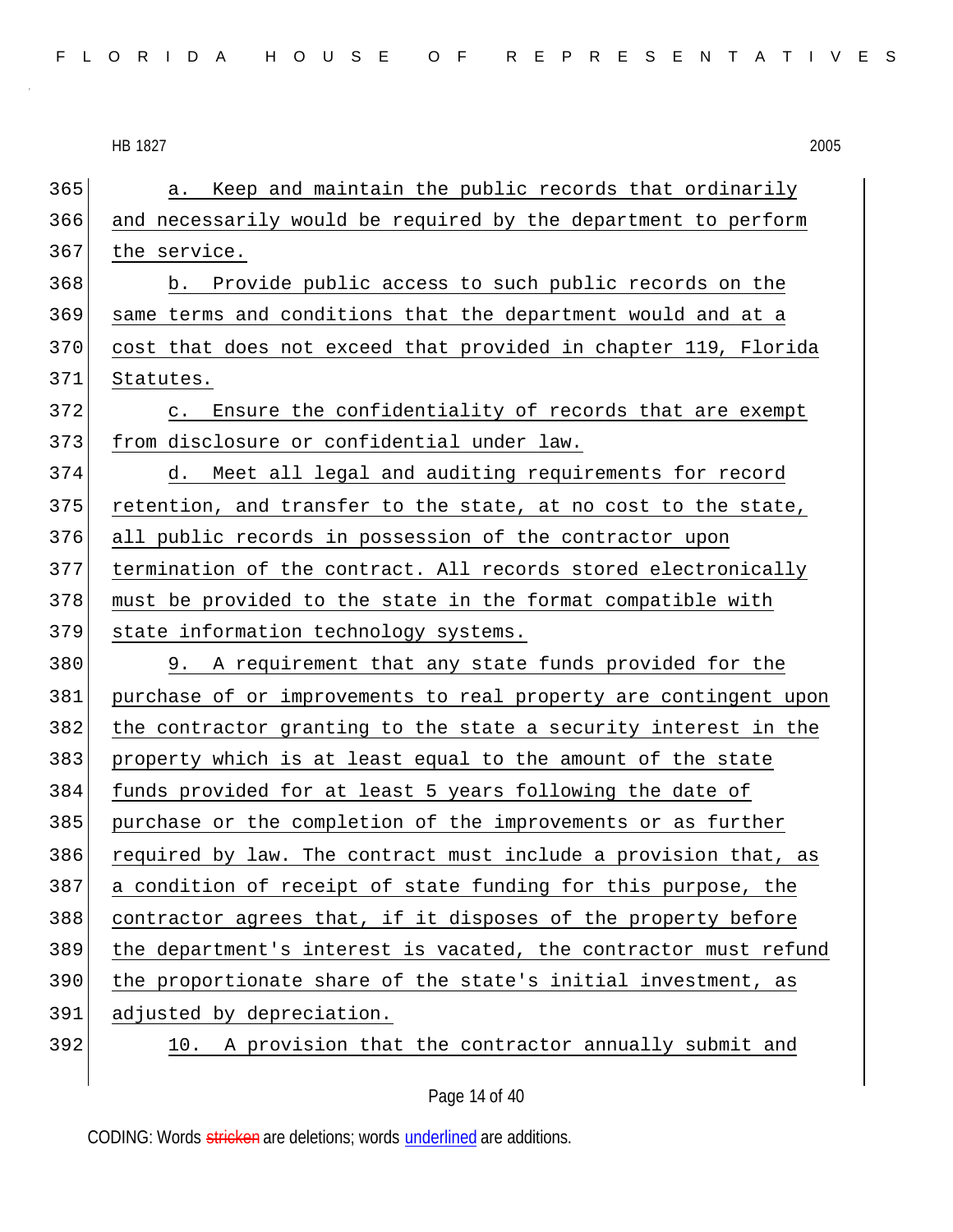365 a. Keep and maintain the public records that ordinarily 366 and necessarily would be required by the department to perform 367 the service. 368 b. Provide public access to such public records on the 369 same terms and conditions that the department would and at a 370 cost that does not exceed that provided in chapter 119, Florida 371 Statutes. 372 c. Ensure the confidentiality of records that are exempt 373 from disclosure or confidential under law. 374 d. Meet all legal and auditing requirements for record 375 retention, and transfer to the state, at no cost to the state, 376 all public records in possession of the contractor upon 377 termination of the contract. All records stored electronically  $378$  must be provided to the state in the format compatible with 379 state information technology systems. 380 9. A requirement that any state funds provided for the 381 purchase of or improvements to real property are contingent upon 382 the contractor granting to the state a security interest in the 383 property which is at least equal to the amount of the state 384 funds provided for at least 5 years following the date of 385 purchase or the completion of the improvements or as further 386 required by law. The contract must include a provision that, as 387 a condition of receipt of state funding for this purpose, the 388 contractor agrees that, if it disposes of the property before 389 the department's interest is vacated, the contractor must refund 390 the proportionate share of the state's initial investment, as 391 adjusted by depreciation. 392 10. A provision that the contractor annually submit and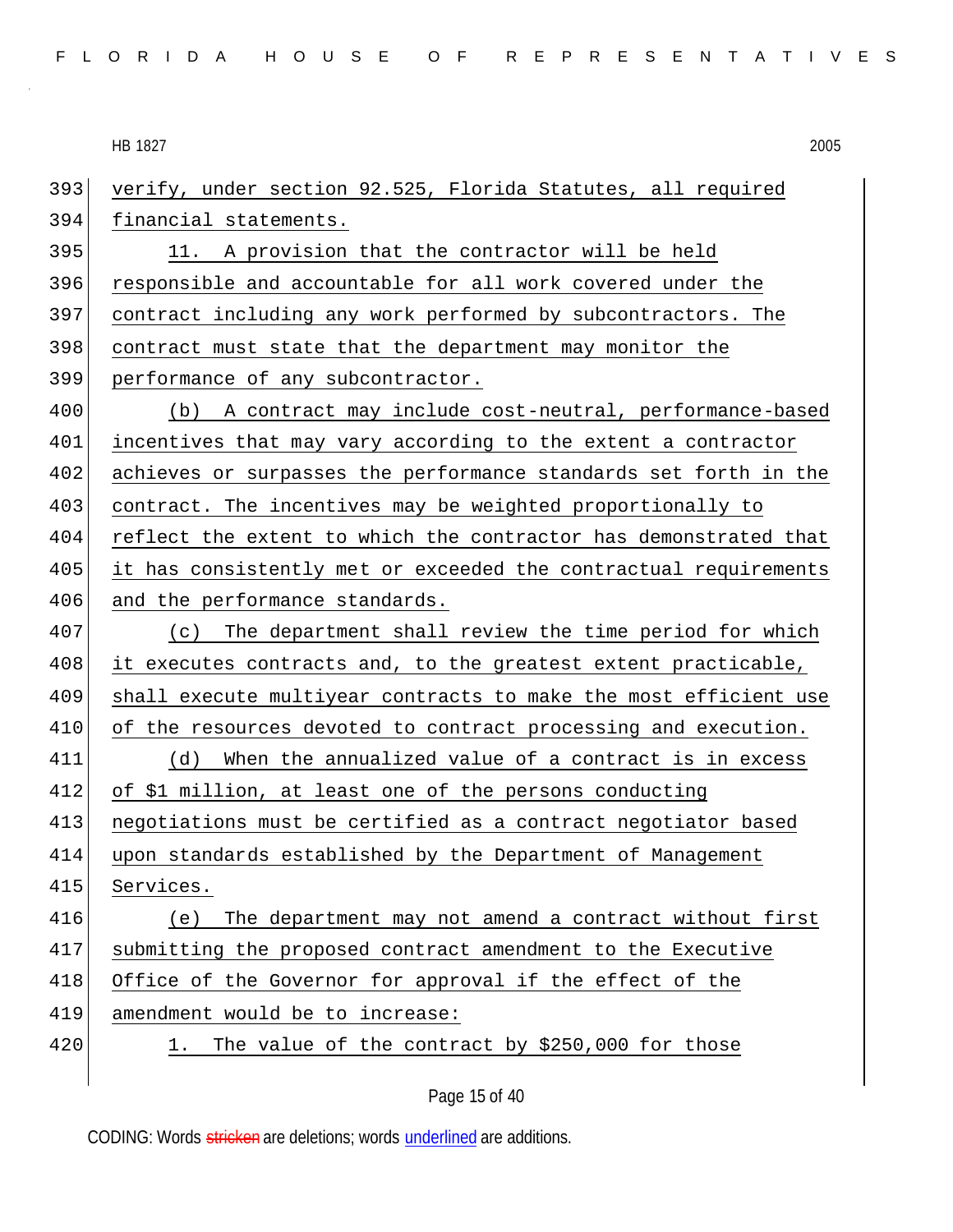393 verify, under section 92.525, Florida Statutes, all required 394 financial statements. 395 11. A provision that the contractor will be held

396 responsible and accountable for all work covered under the contract including any work performed by subcontractors. The contract must state that the department may monitor the performance of any subcontractor.

400 (b) A contract may include cost-neutral, performance-based 401 incentives that may vary according to the extent a contractor 402 achieves or surpasses the performance standards set forth in the 403 contract. The incentives may be weighted proportionally to 404 reflect the extent to which the contractor has demonstrated that 405 it has consistently met or exceeded the contractual requirements 406 and the performance standards.

407 (c) The department shall review the time period for which it executes contracts and, to the greatest extent practicable, shall execute multiyear contracts to make the most efficient use 410 of the resources devoted to contract processing and execution. (d) When the annualized value of a contract is in excess of \$1 million, at least one of the persons conducting

413 negotiations must be certified as a contract negotiator based 414 upon standards established by the Department of Management

415 Services.

416 (e) The department may not amend a contract without first 417 submitting the proposed contract amendment to the Executive 418 Office of the Governor for approval if the effect of the 419 amendment would be to increase: 420 1. The value of the contract by \$250,000 for those

Page 15 of 40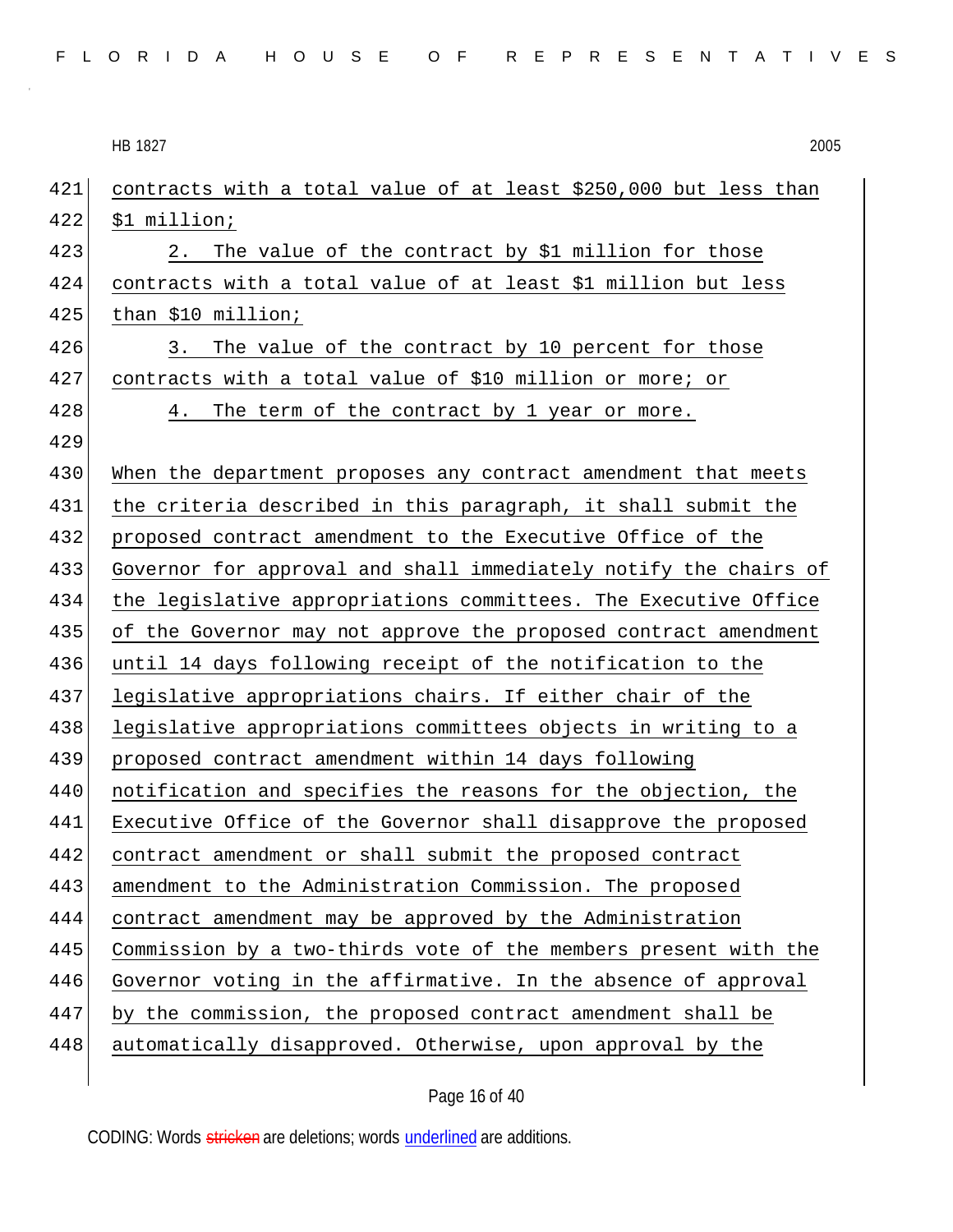| 2005 |
|------|
|      |

| 421 | contracts with a total value of at least \$250,000 but less than |
|-----|------------------------------------------------------------------|
| 422 | \$1 million;                                                     |
| 423 | The value of the contract by \$1 million for those<br>2.         |
| 424 | contracts with a total value of at least \$1 million but less    |
| 425 | than \$10 million;                                               |
| 426 | The value of the contract by 10 percent for those<br>3.          |
| 427 | contracts with a total value of \$10 million or more; or         |
| 428 | 4. The term of the contract by 1 year or more.                   |
| 429 |                                                                  |
| 430 | When the department proposes any contract amendment that meets   |
| 431 | the criteria described in this paragraph, it shall submit the    |
| 432 | proposed contract amendment to the Executive Office of the       |
| 433 | Governor for approval and shall immediately notify the chairs of |
| 434 | the legislative appropriations committees. The Executive Office  |
| 435 | of the Governor may not approve the proposed contract amendment  |
| 436 | until 14 days following receipt of the notification to the       |
| 437 | legislative appropriations chairs. If either chair of the        |
| 438 | legislative appropriations committees objects in writing to a    |
| 439 | proposed contract amendment within 14 days following             |
| 440 | notification and specifies the reasons for the objection, the    |
| 441 | Executive Office of the Governor shall disapprove the proposed   |
| 442 | contract amendment or shall submit the proposed contract         |
| 443 | amendment to the Administration Commission. The proposed         |
| 444 | contract amendment may be approved by the Administration         |
| 445 | Commission by a two-thirds vote of the members present with the  |
| 446 | Governor voting in the affirmative. In the absence of approval   |
| 447 | by the commission, the proposed contract amendment shall be      |
| 448 | automatically disapproved. Otherwise, upon approval by the       |
|     |                                                                  |

# Page 16 of 40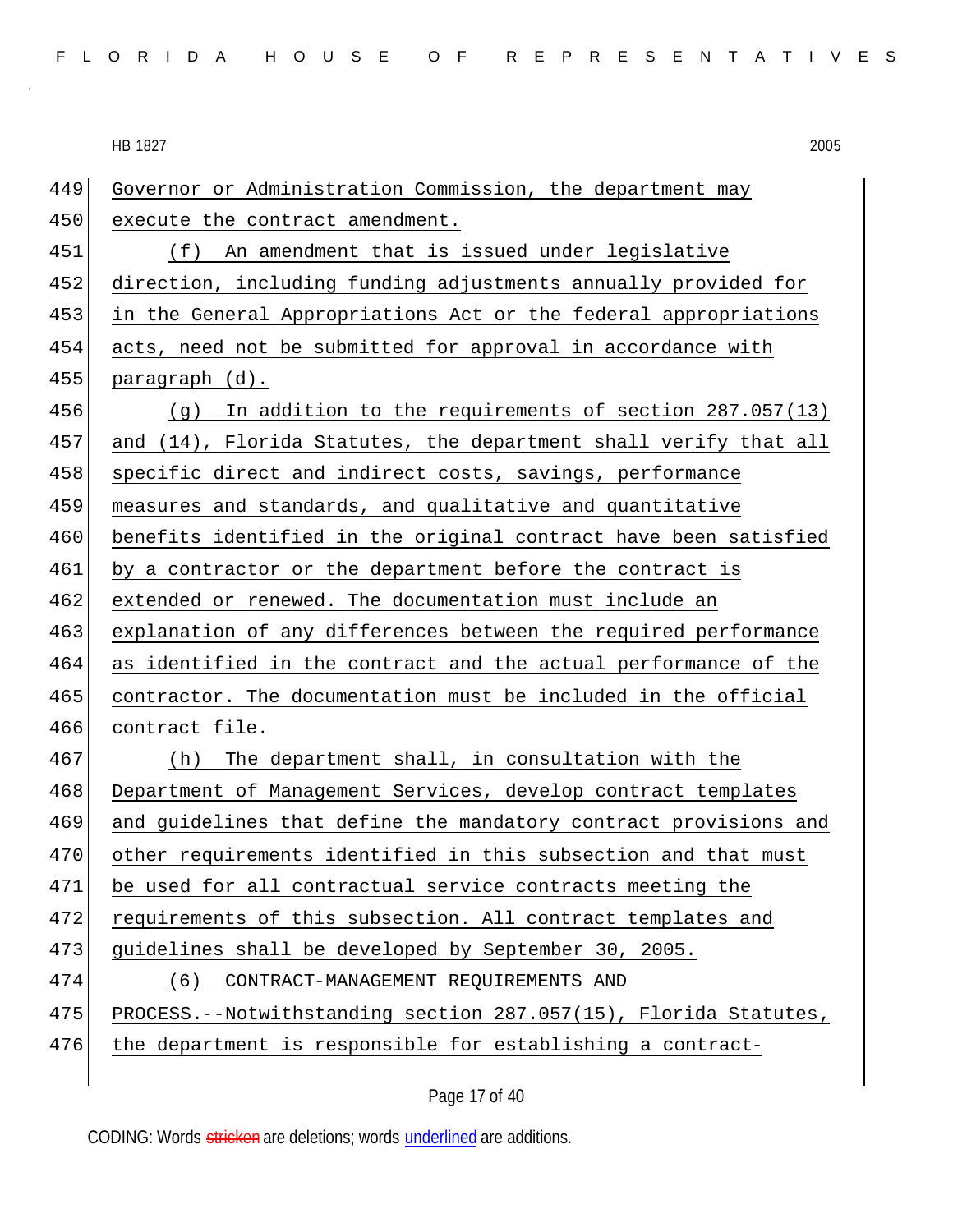| 449 | Governor or Administration Commission, the department may        |
|-----|------------------------------------------------------------------|
| 450 | execute the contract amendment.                                  |
| 451 | (f) An amendment that is issued under legislative                |
| 452 | direction, including funding adjustments annually provided for   |
| 453 | in the General Appropriations Act or the federal appropriations  |
| 454 | acts, need not be submitted for approval in accordance with      |
| 455 | paragraph (d).                                                   |
| 456 | $(g)$ In addition to the requirements of section 287.057(13)     |
| 457 | and (14), Florida Statutes, the department shall verify that all |
| 458 | specific direct and indirect costs, savings, performance         |
| 459 | measures and standards, and qualitative and quantitative         |
| 460 | benefits identified in the original contract have been satisfied |
| 461 | by a contractor or the department before the contract is         |
| 462 | extended or renewed. The documentation must include an           |
| 463 | explanation of any differences between the required performance  |
| 464 | as identified in the contract and the actual performance of the  |
| 465 | contractor. The documentation must be included in the official   |
| 466 | contract file.                                                   |
| 467 | The department shall, in consultation with the<br>(h)            |
| 468 | Department of Management Services, develop contract templates    |
| 469 | and guidelines that define the mandatory contract provisions and |
| 470 | other requirements identified in this subsection and that must   |
| 471 | be used for all contractual service contracts meeting the        |
| 472 | requirements of this subsection. All contract templates and      |
| 473 | guidelines shall be developed by September 30, 2005.             |
| 474 | (6)<br>CONTRACT-MANAGEMENT REQUIREMENTS AND                      |
| 475 | PROCESS.--Notwithstanding section 287.057(15), Florida Statutes, |
| 476 | the department is responsible for establishing a contract-       |
|     |                                                                  |

Page 17 of 40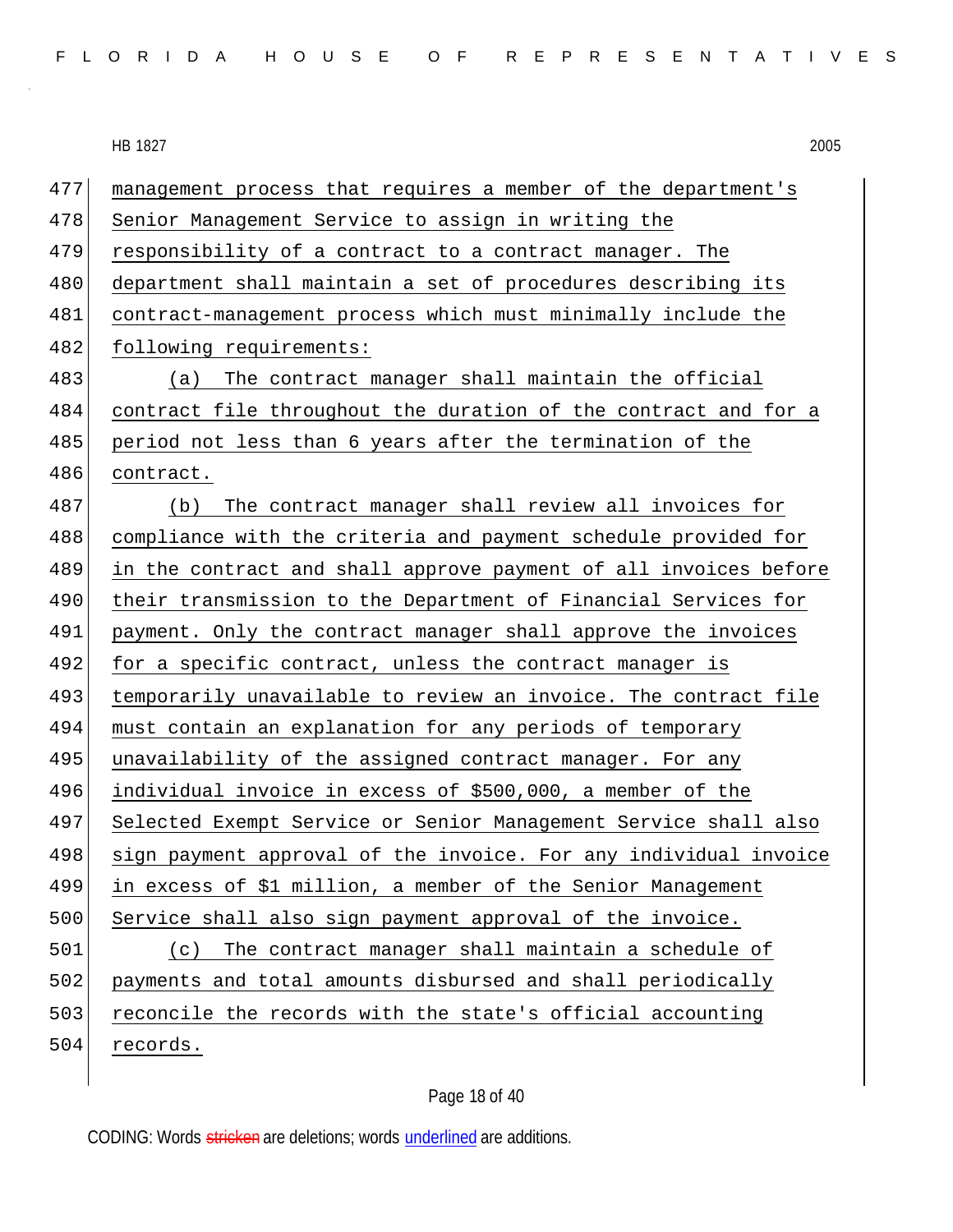| FLORIDA HOUSE OF REPRESENTATIVES |  |
|----------------------------------|--|
|----------------------------------|--|

| 477 | management process that requires a member of the department's    |
|-----|------------------------------------------------------------------|
| 478 | Senior Management Service to assign in writing the               |
| 479 | responsibility of a contract to a contract manager. The          |
| 480 | department shall maintain a set of procedures describing its     |
| 481 | contract-management process which must minimally include the     |
| 482 | following requirements:                                          |
| 483 | The contract manager shall maintain the official<br>(a)          |
| 484 | contract file throughout the duration of the contract and for a  |
| 485 | period not less than 6 years after the termination of the        |
| 486 | contract.                                                        |
| 487 | The contract manager shall review all invoices for<br>(b)        |
| 488 | compliance with the criteria and payment schedule provided for   |
| 489 | in the contract and shall approve payment of all invoices before |
| 490 | their transmission to the Department of Financial Services for   |
| 491 | payment. Only the contract manager shall approve the invoices    |
| 492 | for a specific contract, unless the contract manager is          |
| 493 | temporarily unavailable to review an invoice. The contract file  |
| 494 | must contain an explanation for any periods of temporary         |
| 495 | unavailability of the assigned contract manager. For any         |
| 496 | individual invoice in excess of \$500,000, a member of the       |
| 497 | Selected Exempt Service or Senior Management Service shall also  |
| 498 | sign payment approval of the invoice. For any individual invoice |
| 499 | in excess of \$1 million, a member of the Senior Management      |
| 500 | Service shall also sign payment approval of the invoice.         |
| 501 | The contract manager shall maintain a schedule of<br>(C)         |
| 502 | payments and total amounts disbursed and shall periodically      |
| 503 | reconcile the records with the state's official accounting       |
| 504 | records.                                                         |

Page 18 of 40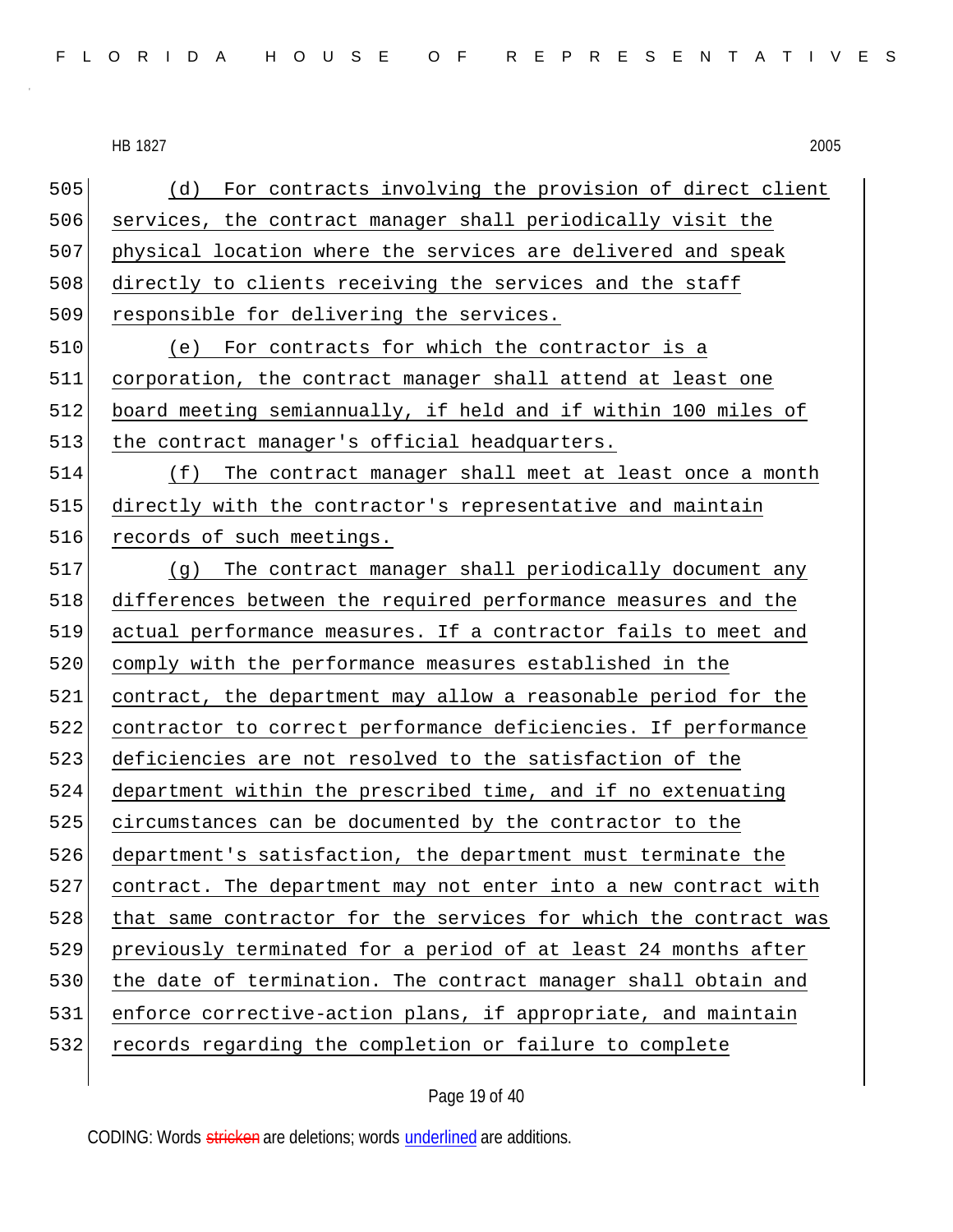(d) For contracts involving the provision of direct client services, the contract manager shall periodically visit the physical location where the services are delivered and speak 508 directly to clients receiving the services and the staff 509 responsible for delivering the services. (e) For contracts for which the contractor is a corporation, the contract manager shall attend at least one 512 board meeting semiannually, if held and if within 100 miles of 513 the contract manager's official headquarters. (f) The contract manager shall meet at least once a month directly with the contractor's representative and maintain 516 records of such meetings. (g) The contract manager shall periodically document any 518 differences between the required performance measures and the actual performance measures. If a contractor fails to meet and comply with the performance measures established in the contract, the department may allow a reasonable period for the contractor to correct performance deficiencies. If performance deficiencies are not resolved to the satisfaction of the department within the prescribed time, and if no extenuating 525 circumstances can be documented by the contractor to the department's satisfaction, the department must terminate the contract. The department may not enter into a new contract with that same contractor for the services for which the contract was previously terminated for a period of at least 24 months after 530 the date of termination. The contract manager shall obtain and enforce corrective-action plans, if appropriate, and maintain records regarding the completion or failure to complete

Page 19 of 40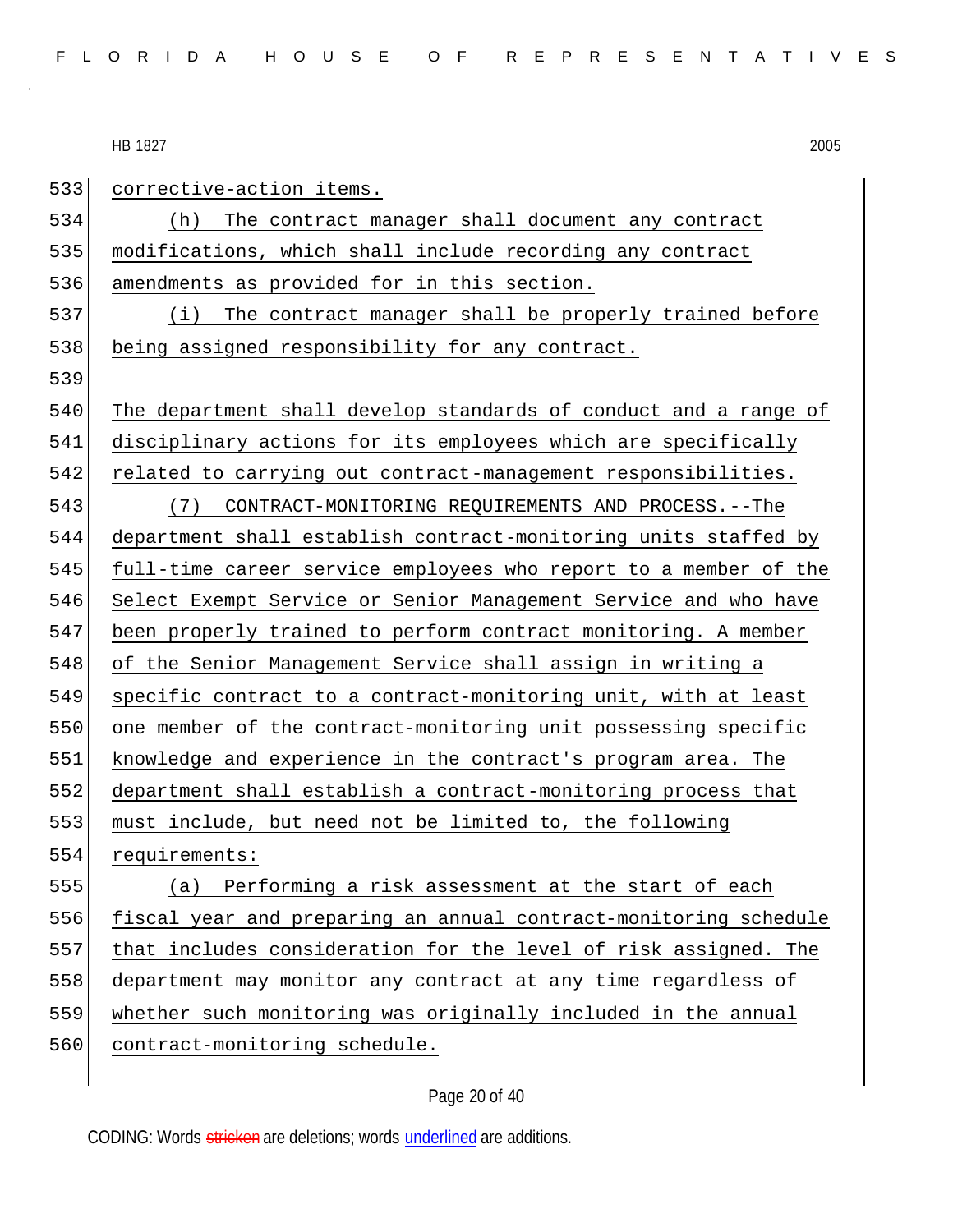533 corrective-action items. (h) The contract manager shall document any contract 535 | modifications, which shall include recording any contract amendments as provided for in this section. (i) The contract manager shall be properly trained before 538 being assigned responsibility for any contract. The department shall develop standards of conduct and a range of disciplinary actions for its employees which are specifically 542 related to carrying out contract-management responsibilities. (7) CONTRACT-MONITORING REQUIREMENTS AND PROCESS.--The department shall establish contract-monitoring units staffed by full-time career service employees who report to a member of the Select Exempt Service or Senior Management Service and who have been properly trained to perform contract monitoring. A member of the Senior Management Service shall assign in writing a specific contract to a contract-monitoring unit, with at least 550 one member of the contract-monitoring unit possessing specific knowledge and experience in the contract's program area. The department shall establish a contract-monitoring process that must include, but need not be limited to, the following requirements: (a) Performing a risk assessment at the start of each fiscal year and preparing an annual contract-monitoring schedule that includes consideration for the level of risk assigned. The department may monitor any contract at any time regardless of whether such monitoring was originally included in the annual 560 contract-monitoring schedule.

## Page 20 of 40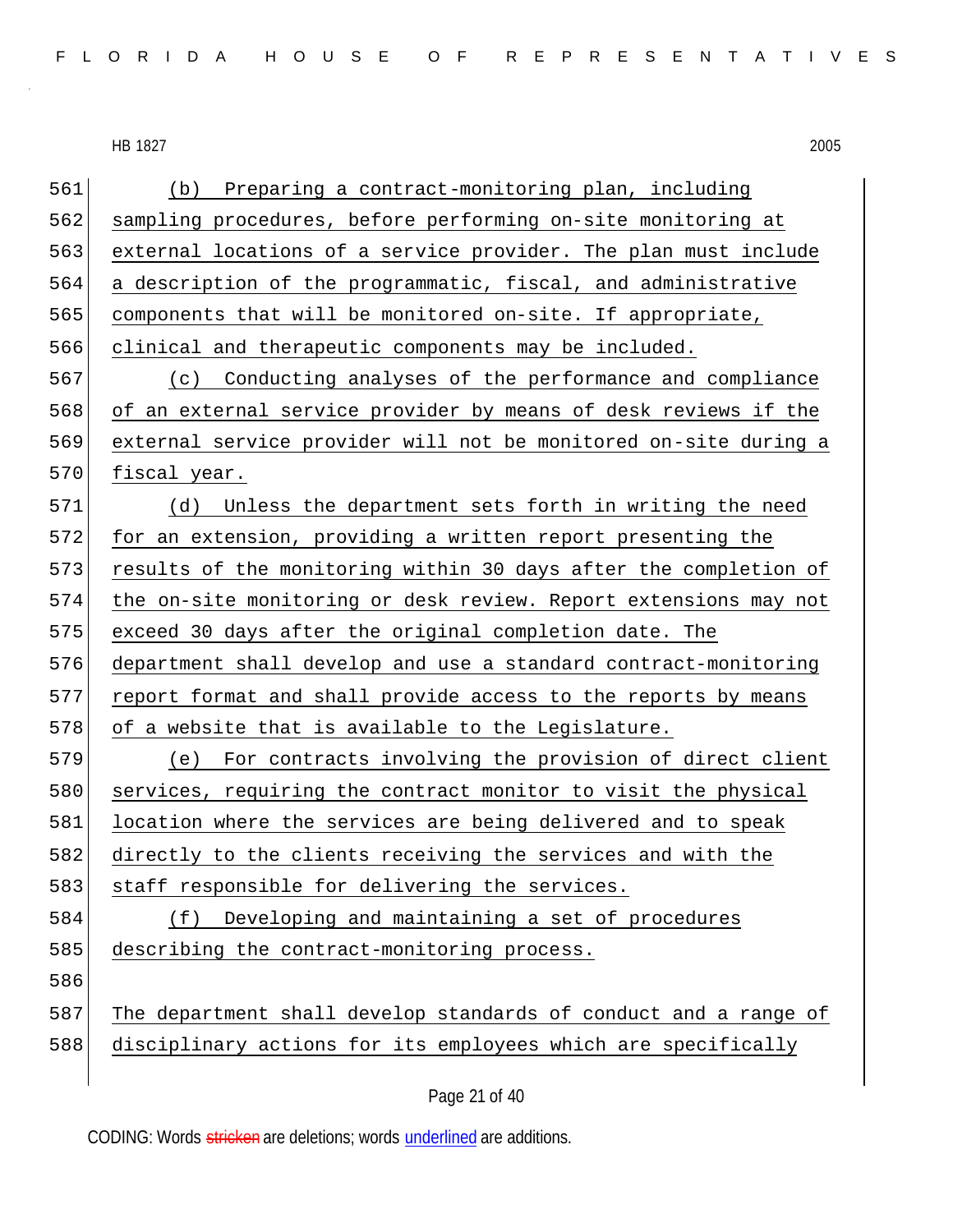| 561 | Preparing a contract-monitoring plan, including<br>(b)           |
|-----|------------------------------------------------------------------|
| 562 | sampling procedures, before performing on-site monitoring at     |
| 563 | external locations of a service provider. The plan must include  |
| 564 | a description of the programmatic, fiscal, and administrative    |
| 565 | components that will be monitored on-site. If appropriate,       |
| 566 | clinical and therapeutic components may be included.             |
| 567 | (c) Conducting analyses of the performance and compliance        |
| 568 | of an external service provider by means of desk reviews if the  |
| 569 | external service provider will not be monitored on-site during a |
| 570 | fiscal year.                                                     |
| 571 | (d)<br>Unless the department sets forth in writing the need      |
| 572 | for an extension, providing a written report presenting the      |
| 573 | results of the monitoring within 30 days after the completion of |
| 574 | the on-site monitoring or desk review. Report extensions may not |
| 575 | exceed 30 days after the original completion date. The           |
| 576 | department shall develop and use a standard contract-monitoring  |
| 577 | report format and shall provide access to the reports by means   |
| 578 | of a website that is available to the Legislature.               |
| 579 | (e) For contracts involving the provision of direct client       |
| 580 | services, requiring the contract monitor to visit the physical   |
| 581 | location where the services are being delivered and to speak     |
| 582 | directly to the clients receiving the services and with the      |
| 583 | staff responsible for delivering the services.                   |
| 584 | Developing and maintaining a set of procedures<br>(f)            |
| 585 | describing the contract-monitoring process.                      |
| 586 |                                                                  |
| 587 | The department shall develop standards of conduct and a range of |
| 588 | disciplinary actions for its employees which are specifically    |
|     |                                                                  |

Page 21 of 40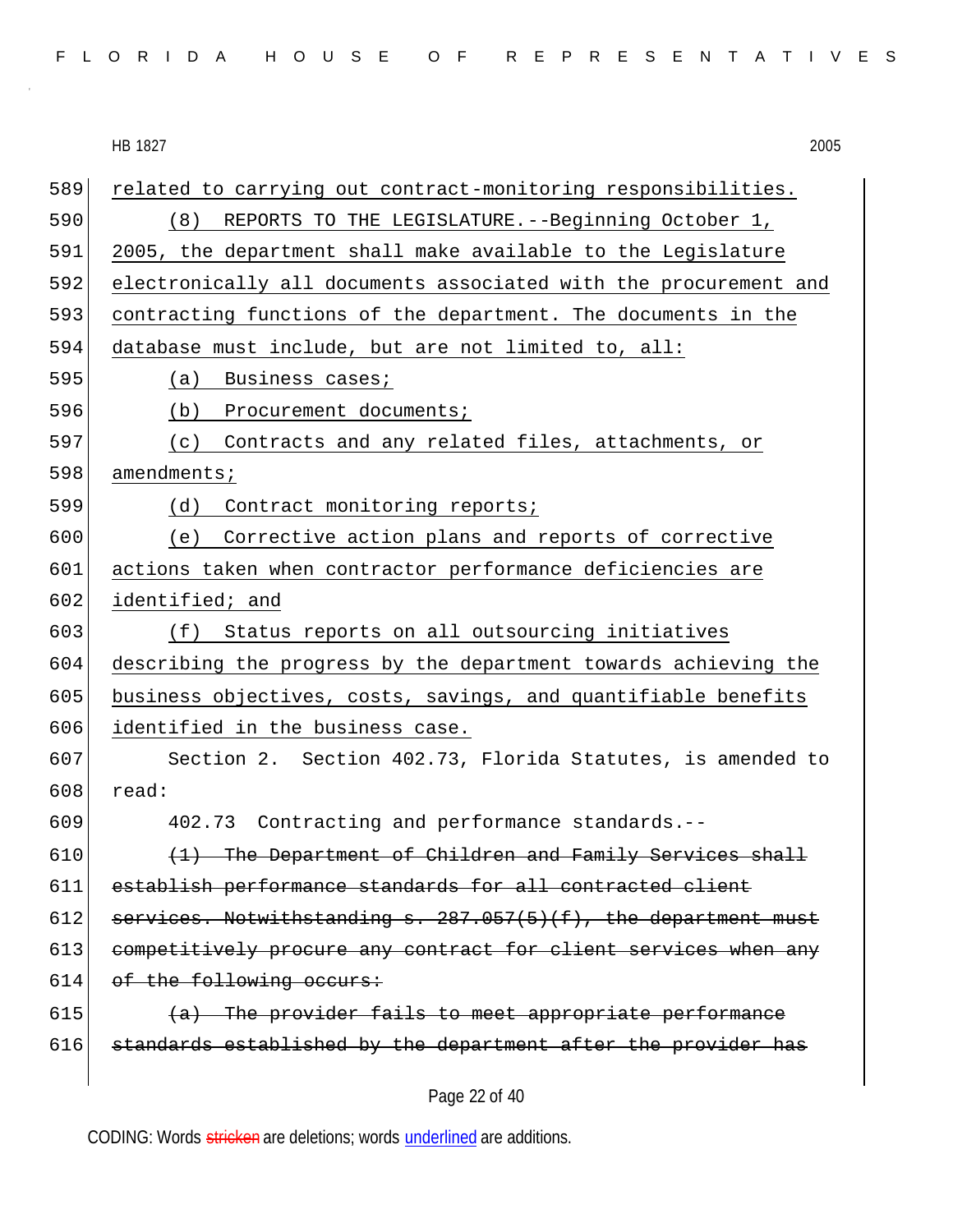|  |  |  |  |  |  |  |  |  |  | FLORIDA HOUSE OF REPRESENTATIVES |  |  |  |  |  |  |  |  |  |  |  |  |  |  |  |  |
|--|--|--|--|--|--|--|--|--|--|----------------------------------|--|--|--|--|--|--|--|--|--|--|--|--|--|--|--|--|
|--|--|--|--|--|--|--|--|--|--|----------------------------------|--|--|--|--|--|--|--|--|--|--|--|--|--|--|--|--|

|     | 2005<br>HB 1827                                                  |  |  |
|-----|------------------------------------------------------------------|--|--|
| 589 | related to carrying out contract-monitoring responsibilities.    |  |  |
| 590 | REPORTS TO THE LEGISLATURE. -- Beginning October 1,<br>(8)       |  |  |
| 591 | 2005, the department shall make available to the Legislature     |  |  |
| 592 | electronically all documents associated with the procurement and |  |  |
| 593 | contracting functions of the department. The documents in the    |  |  |
| 594 | database must include, but are not limited to, all:              |  |  |
| 595 | Business cases;<br>(a)                                           |  |  |
| 596 | (b)<br>Procurement documents;                                    |  |  |
| 597 | (c) Contracts and any related files, attachments, or             |  |  |
| 598 | amendments;                                                      |  |  |
| 599 | Contract monitoring reports;<br>(d)                              |  |  |
| 600 | (e) Corrective action plans and reports of corrective            |  |  |
| 601 | actions taken when contractor performance deficiencies are       |  |  |
| 602 | identified; and                                                  |  |  |
| 603 | Status reports on all outsourcing initiatives<br>(f)             |  |  |
| 604 | describing the progress by the department towards achieving the  |  |  |
| 605 | business objectives, costs, savings, and quantifiable benefits   |  |  |
| 606 | identified in the business case.                                 |  |  |
| 607 | Section 2. Section 402.73, Florida Statutes, is amended to       |  |  |
| 608 | read:                                                            |  |  |
| 609 | 402.73 Contracting and performance standards.--                  |  |  |
| 610 | (1) The Department of Children and Family Services shall         |  |  |
| 611 | establish performance standards for all contracted client        |  |  |
| 612 | services. Notwithstanding s. 287.057(5)(f), the department must  |  |  |
| 613 | competitively procure any contract for client services when any  |  |  |
| 614 | of the following occurs:                                         |  |  |
| 615 | (a) The provider fails to meet appropriate performance           |  |  |
| 616 | standards established by the department after the provider has   |  |  |
|     |                                                                  |  |  |

Page 22 of 40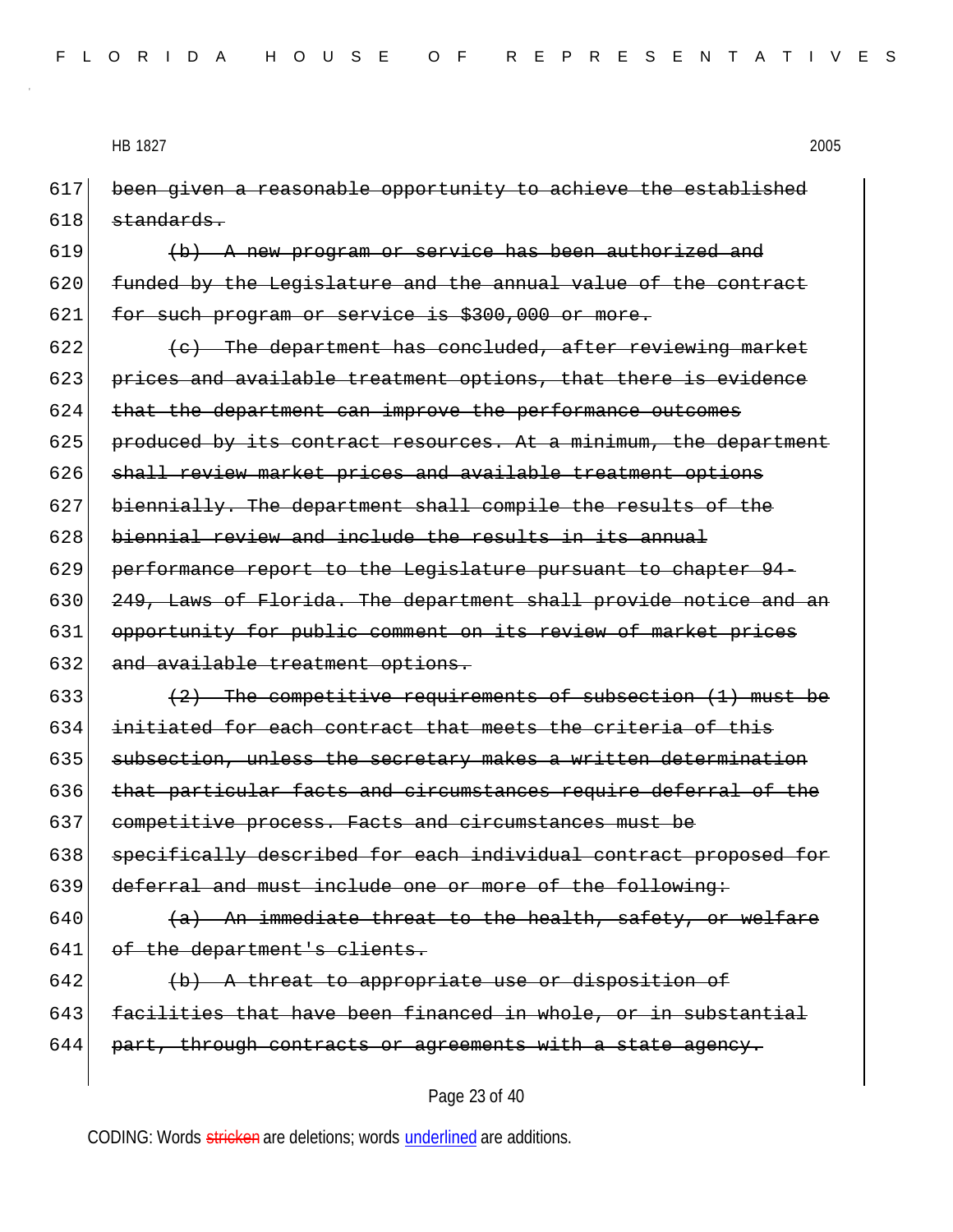617 been given a reasonable opportunity to achieve the established  $618$  standards.

619  $\langle b \rangle$  A new program or service has been authorized and 620 funded by the Legislature and the annual value of the contract 621 for such program or service is \$300,000 or more.

622  $(e)$  The department has concluded, after reviewing market 623 prices and available treatment options, that there is evidence 624 that the department can improve the performance outcomes 625 produced by its contract resources. At a minimum, the department 626 shall review market prices and available treatment options 627 biennially. The department shall compile the results of the 628 biennial review and include the results in its annual 629 performance report to the Legislature pursuant to chapter 94- 630 249, Laws of Florida. The department shall provide notice and an 631 opportunity for public comment on its review of market prices 632 and available treatment options.

633  $(2)$  The competitive requirements of subsection (1) must be 634 initiated for each contract that meets the criteria of this 635 subsection, unless the secretary makes a written determination 636 that particular facts and circumstances require deferral of the 637 competitive process. Facts and circumstances must be 638 specifically described for each individual contract proposed for 639 deferral and must include one or more of the following:

640  $(a)$  An immediate threat to the health, safety, or welfare 641 of the department's clients.

 $642$  (b) A threat to appropriate use or disposition of 643 facilities that have been financed in whole, or in substantial  $644$  part, through contracts or agreements with a state agency.

#### Page 23 of 40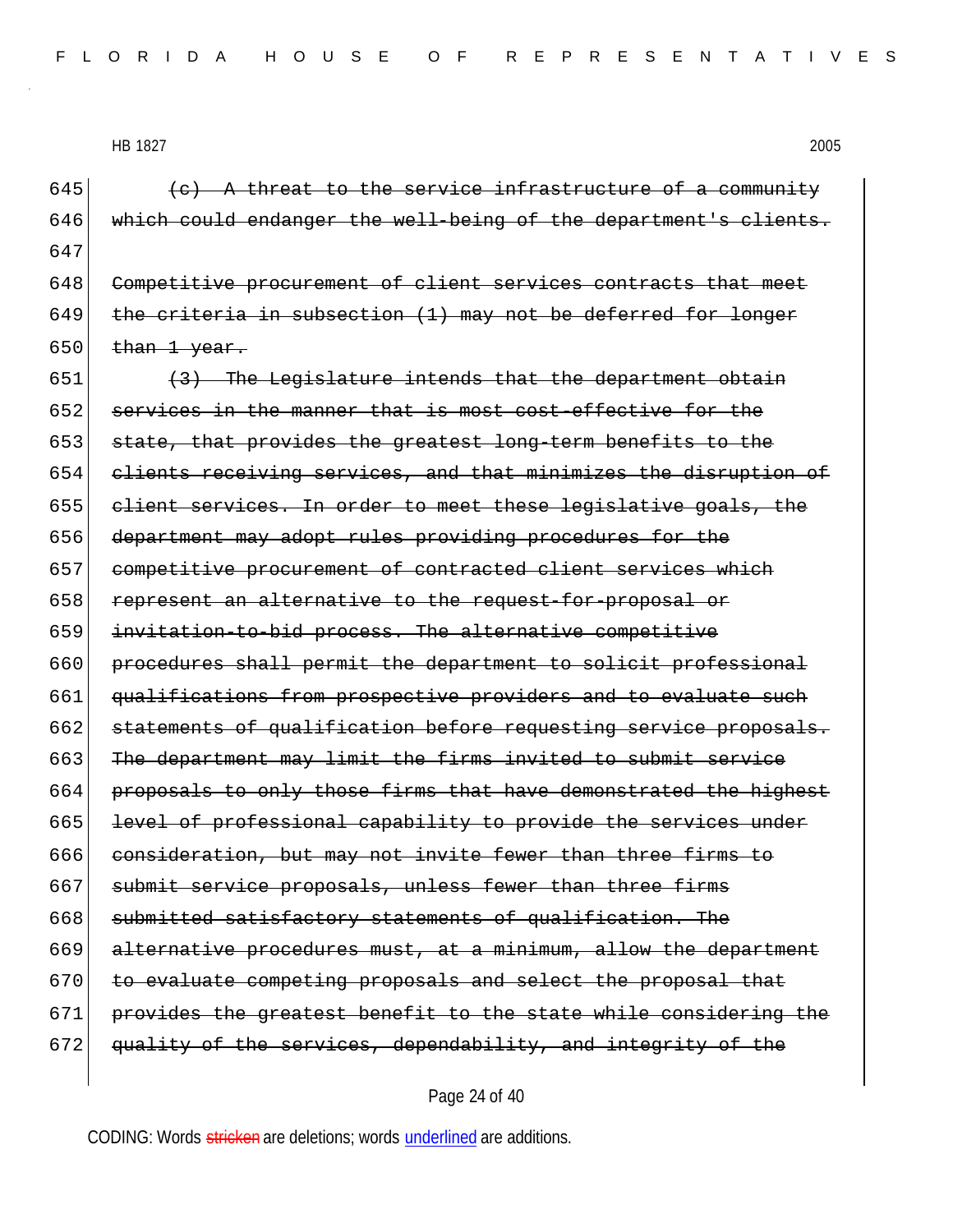645  $\left\langle \epsilon\right\rangle$  A threat to the service infrastructure of a community 646 which could endanger the well-being of the department's clients. 647 648 Competitive procurement of client services contracts that meet 649 the criteria in subsection  $(1)$  may not be deferred for longer  $650$  than 1 year.

 $651$  (3) The Legislature intends that the department obtain 652 services in the manner that is most cost-effective for the 653 state, that provides the greatest long-term benefits to the 654 clients receiving services, and that minimizes the disruption of 655 client services. In order to meet these legislative goals, the 656 department may adopt rules providing procedures for the 657 competitive procurement of contracted client services which 658 represent an alternative to the request-for-proposal or 659 invitation-to-bid process. The alternative competitive 660 procedures shall permit the department to solicit professional 661 qualifications from prospective providers and to evaluate such 662 statements of qualification before requesting service proposals. 663 The department may limit the firms invited to submit service 664 proposals to only those firms that have demonstrated the highest 665 level of professional capability to provide the services under 666 consideration, but may not invite fewer than three firms to 667 submit service proposals, unless fewer than three firms  $668$  submitted satisfactory statements of qualification. The 669 alternative procedures must, at a minimum, allow the department 670 to evaluate competing proposals and select the proposal that 671 provides the greatest benefit to the state while considering the 672 quality of the services, dependability, and integrity of the

#### Page 24 of 40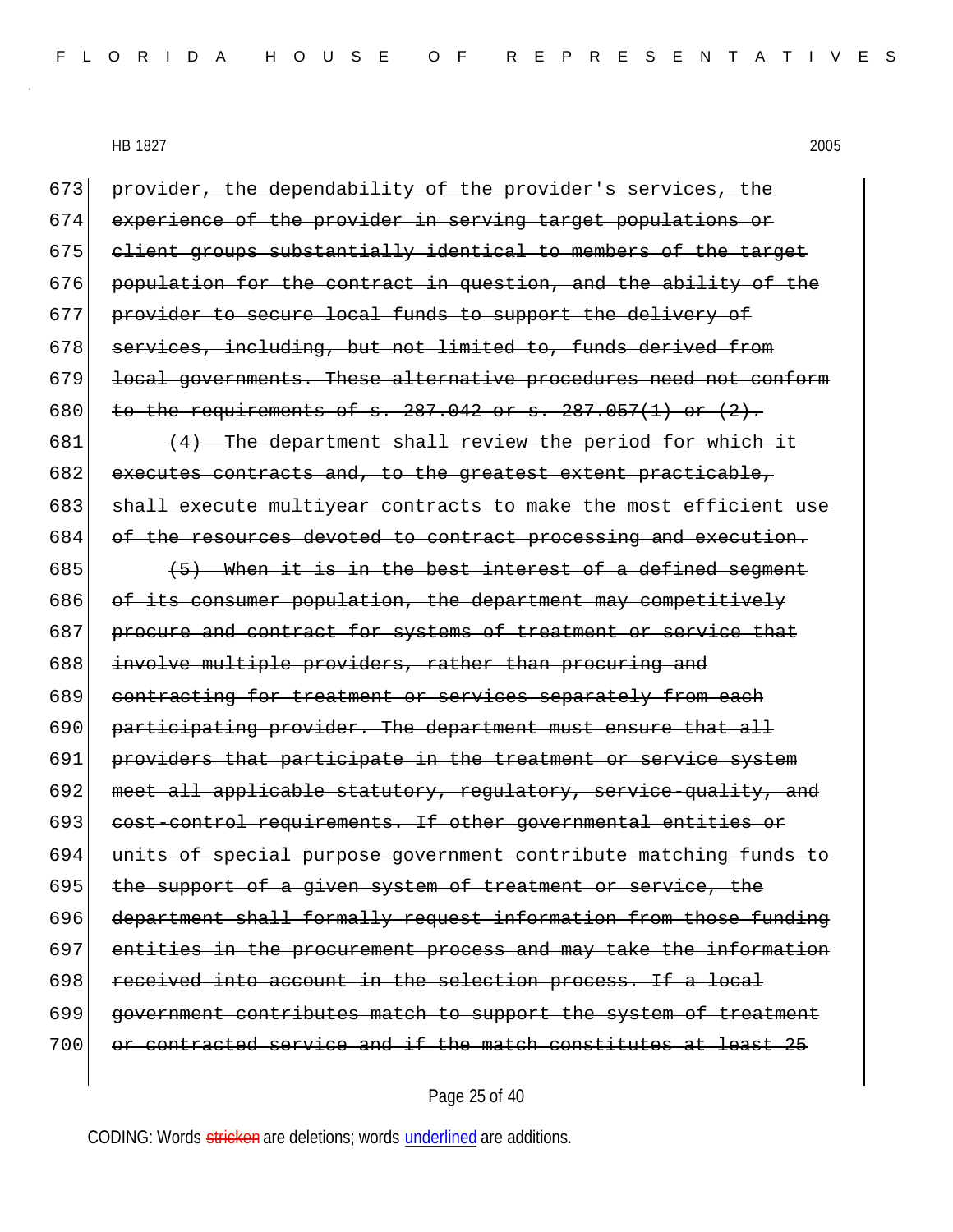| 673 | provider, the dependability of the provider's services, the      |
|-----|------------------------------------------------------------------|
| 674 | experience of the provider in serving target populations or      |
| 675 | client groups substantially identical to members of the target   |
| 676 | population for the contract in question, and the ability of the  |
| 677 | provider to secure local funds to support the delivery of        |
| 678 | services, including, but not limited to, funds derived from      |
| 679 | local governments. These alternative procedures need not conform |
| 680 | to the requirements of $s. 287.042$ or $s. 287.057(1)$ or $(2).$ |
| 681 | (4) The department shall review the period for which it          |
| 682 | executes contracts and, to the greatest extent practicable,      |
| 683 | shall execute multiyear contracts to make the most efficient use |
| 684 | of the resources devoted to contract processing and execution.   |
| 685 | (5) When it is in the best interest of a defined segment         |
| 686 | of its consumer population, the department may competitively     |
| 687 | procure and contract for systems of treatment or service that    |
| 688 | involve multiple providers, rather than procuring and            |
| 689 | contracting for treatment or services separately from each       |
| 690 | participating provider. The department must ensure that all      |
| 691 | providers that participate in the treatment or service system    |
| 692 | meet all applicable statutory, requlatory, service-quality, and  |
| 693 | cost-control requirements. If other governmental entities or     |
| 694 | units of special purpose government contribute matching funds to |
| 695 | the support of a given system of treatment or service, the       |
| 696 | department shall formally request information from those funding |
| 697 | entities in the procurement process and may take the information |
| 698 | received into account in the selection process. If a local       |
| 699 | government contributes match to support the system of treatment  |
| 700 | or contracted service and if the match constitutes at least 25   |
|     |                                                                  |

# Page 25 of 40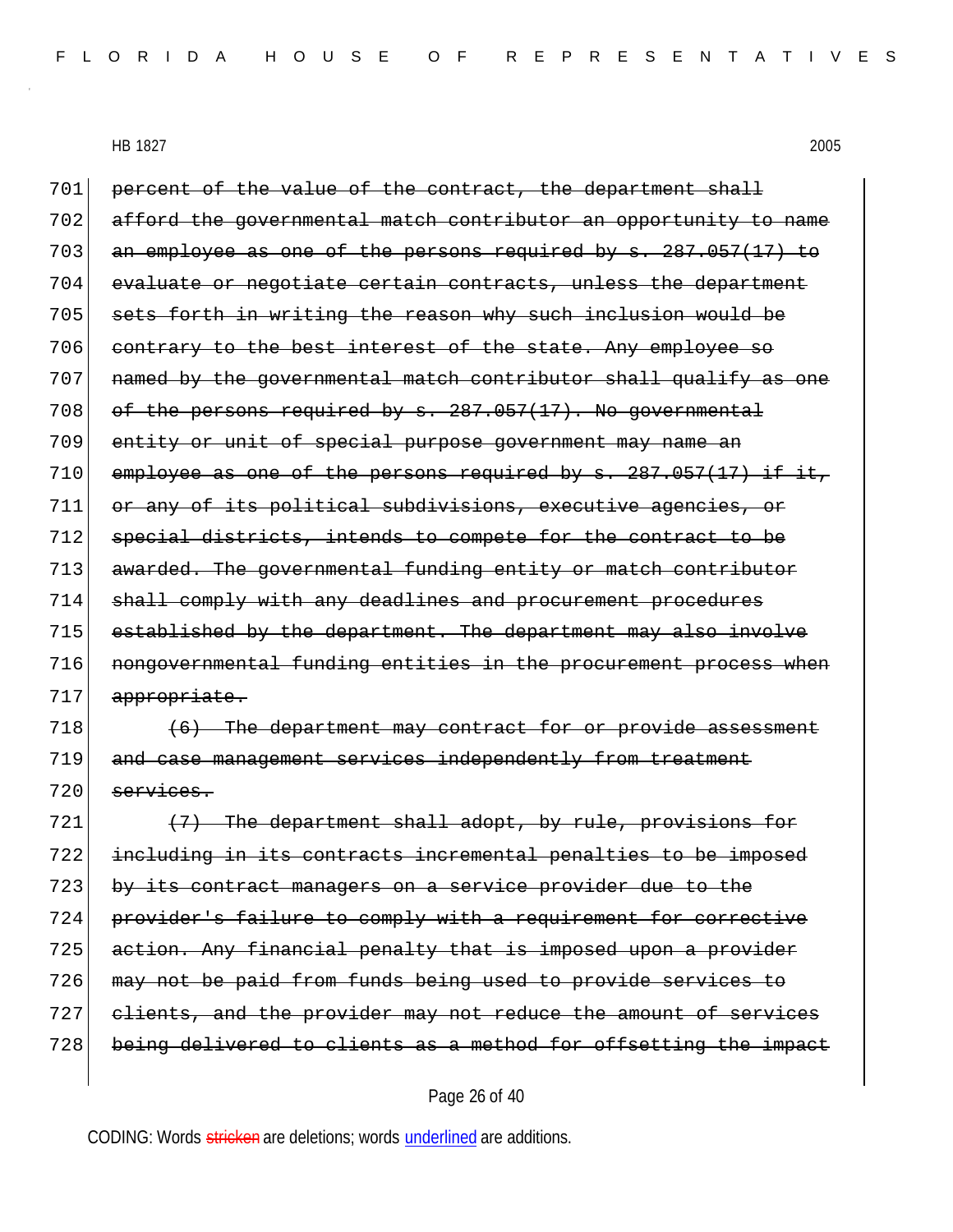701 percent of the value of the contract, the department shall 702 afford the governmental match contributor an opportunity to name 703 an employee as one of the persons required by s. 287.057(17) to 704 evaluate or negotiate certain contracts, unless the department 705 sets forth in writing the reason why such inclusion would be 706 contrary to the best interest of the state. Any employee so 707 named by the governmental match contributor shall qualify as one 708 of the persons required by s. 287.057(17). No governmental 709 entity or unit of special purpose government may name an  $710$  employee as one of the persons required by s. 287.057(17) if it, 711 or any of its political subdivisions, executive agencies, or 712 special districts, intends to compete for the contract to be 713 awarded. The governmental funding entity or match contributor 714 shall comply with any deadlines and procurement procedures 715 established by the department. The department may also involve 716 **nongovernmental funding entities in the procurement process when** 717 appropriate.  $718$  (6) The department may contract for or provide assessment 719 and case management services independently from treatment  $720$  services.

 (7) The department shall adopt, by rule, provisions for including in its contracts incremental penalties to be imposed 723 by its contract managers on a service provider due to the provider's failure to comply with a requirement for corrective 725 action. Any financial penalty that is imposed upon a provider may not be paid from funds being used to provide services to clients, and the provider may not reduce the amount of services being delivered to clients as a method for offsetting the impact

#### Page 26 of 40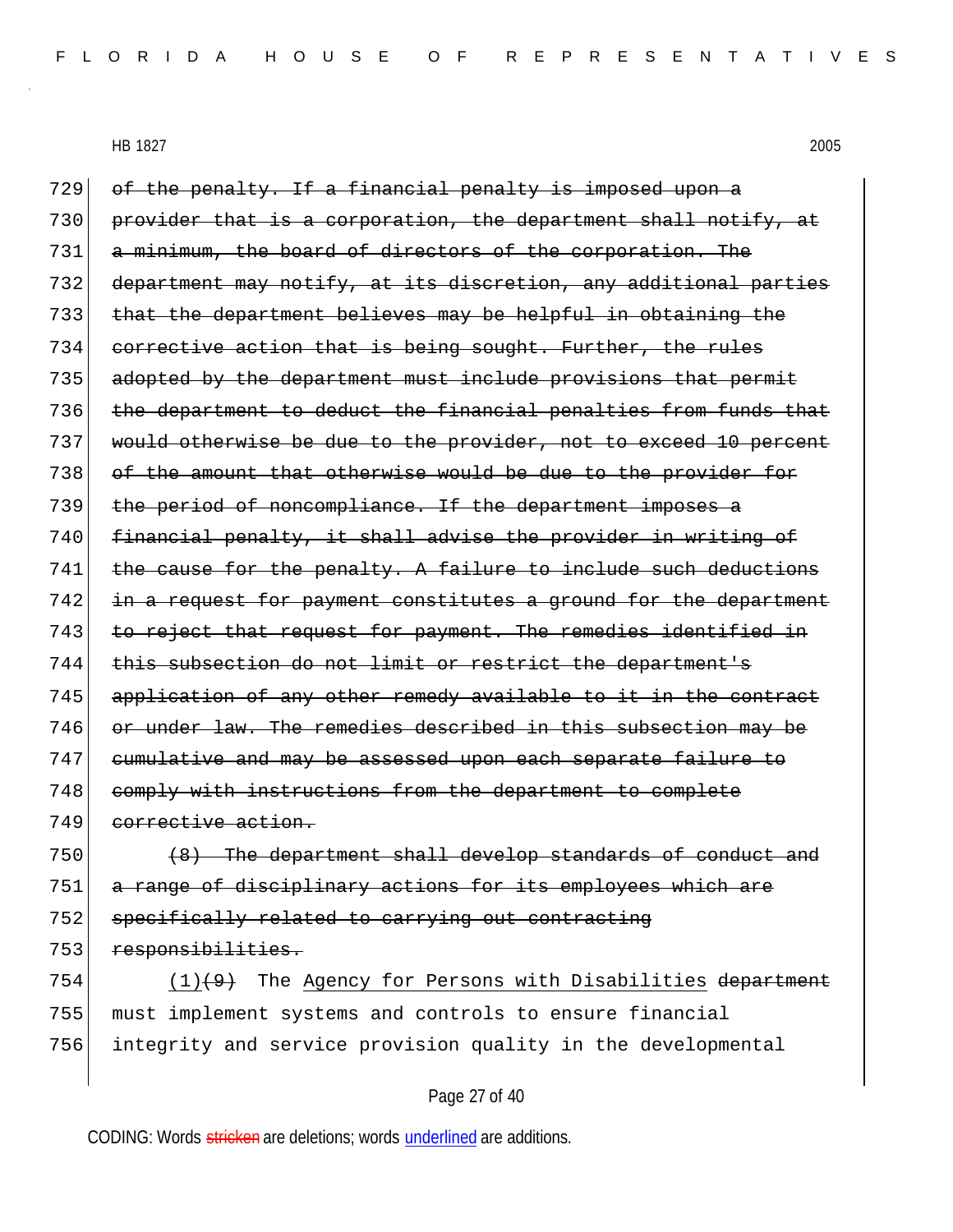729 of the penalty. If a financial penalty is imposed upon a 730 provider that is a corporation, the department shall notify, at 731 a minimum, the board of directors of the corporation. The 732 department may notify, at its discretion, any additional parties 733 that the department believes may be helpful in obtaining the 734 corrective action that is being sought. Further, the rules 735 adopted by the department must include provisions that permit 736 the department to deduct the financial penalties from funds that 737 would otherwise be due to the provider, not to exceed 10 percent 738 of the amount that otherwise would be due to the provider for 739 the period of noncompliance. If the department imposes a 740 financial penalty, it shall advise the provider in writing of 741 the cause for the penalty. A failure to include such deductions 742 in a request for payment constitutes a ground for the department 743 to reject that request for payment. The remedies identified in 744 this subsection do not limit or restrict the department's 745 application of any other remedy available to it in the contract 746 or under law. The remedies described in this subsection may be 747 cumulative and may be assessed upon each separate failure to 748 comply with instructions from the department to complete 749 corrective action.

 (8) The department shall develop standards of conduct and a range of disciplinary actions for its employees which are specifically related to carrying out contracting 753 responsibilities.

754  $(1)(9)$  The Agency for Persons with Disabilities department 755 must implement systems and controls to ensure financial 756 integrity and service provision quality in the developmental

## Page 27 of 40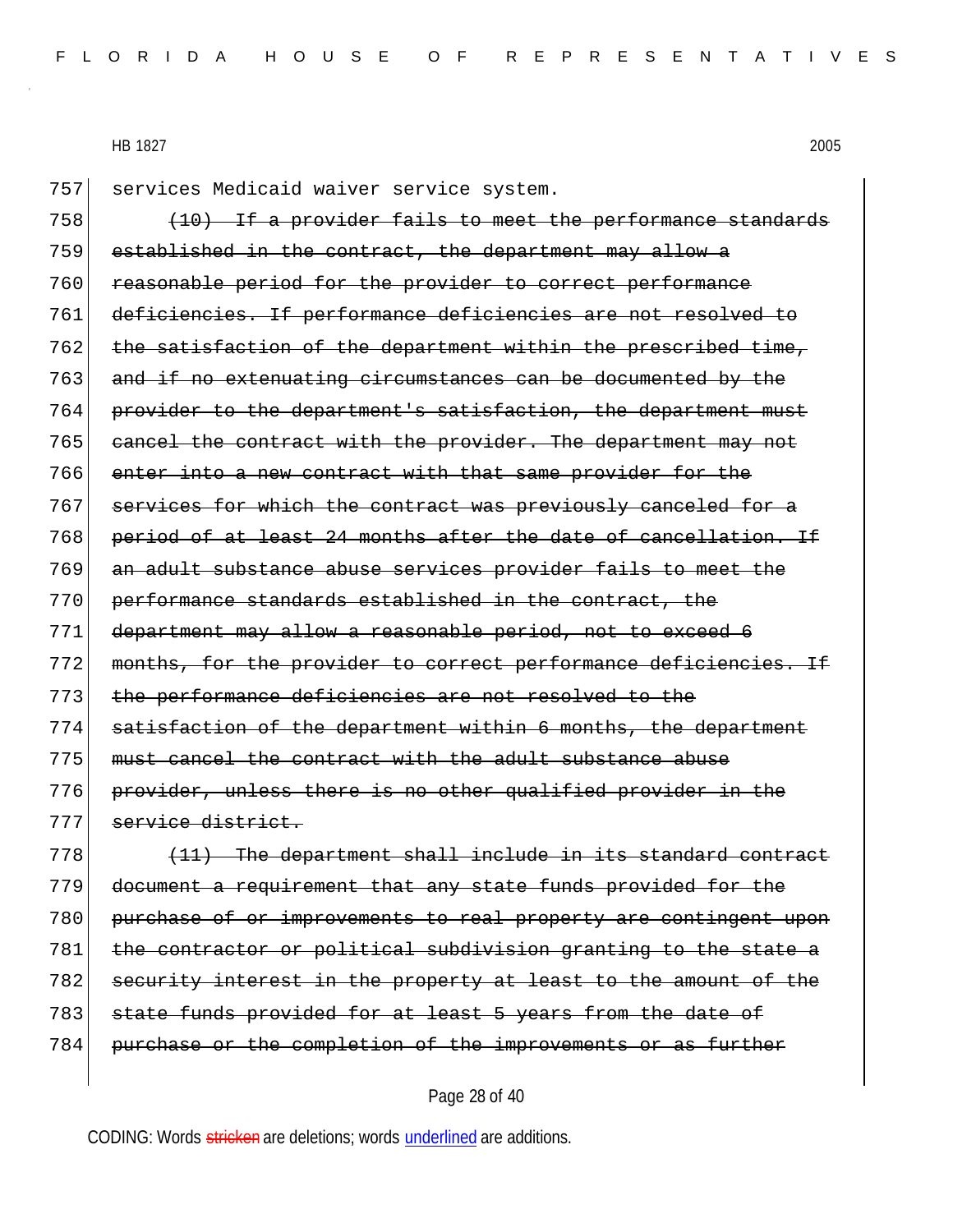757 services Medicaid waiver service system.

 (10) If a provider fails to meet the performance standards established in the contract, the department may allow a reasonable period for the provider to correct performance deficiencies. If performance deficiencies are not resolved to 762 the satisfaction of the department within the prescribed time, and if no extenuating circumstances can be documented by the 764 provider to the department's satisfaction, the department must 765 cancel the contract with the provider. The department may not 766 enter into a new contract with that same provider for the services for which the contract was previously canceled for a period of at least 24 months after the date of cancellation. If 769 an adult substance abuse services provider fails to meet the performance standards established in the contract, the department may allow a reasonable period, not to exceed 6 months, for the provider to correct performance deficiencies. If the performance deficiencies are not resolved to the satisfaction of the department within 6 months, the department must cancel the contract with the adult substance abuse provider, unless there is no other qualified provider in the service district.

 $778$  (11) The department shall include in its standard contract 779 document a requirement that any state funds provided for the 780 purchase of or improvements to real property are contingent upon 781 the contractor or political subdivision granting to the state a 782 security interest in the property at least to the amount of the 783 state funds provided for at least 5 years from the date of 784 purchase or the completion of the improvements or as further

#### Page 28 of 40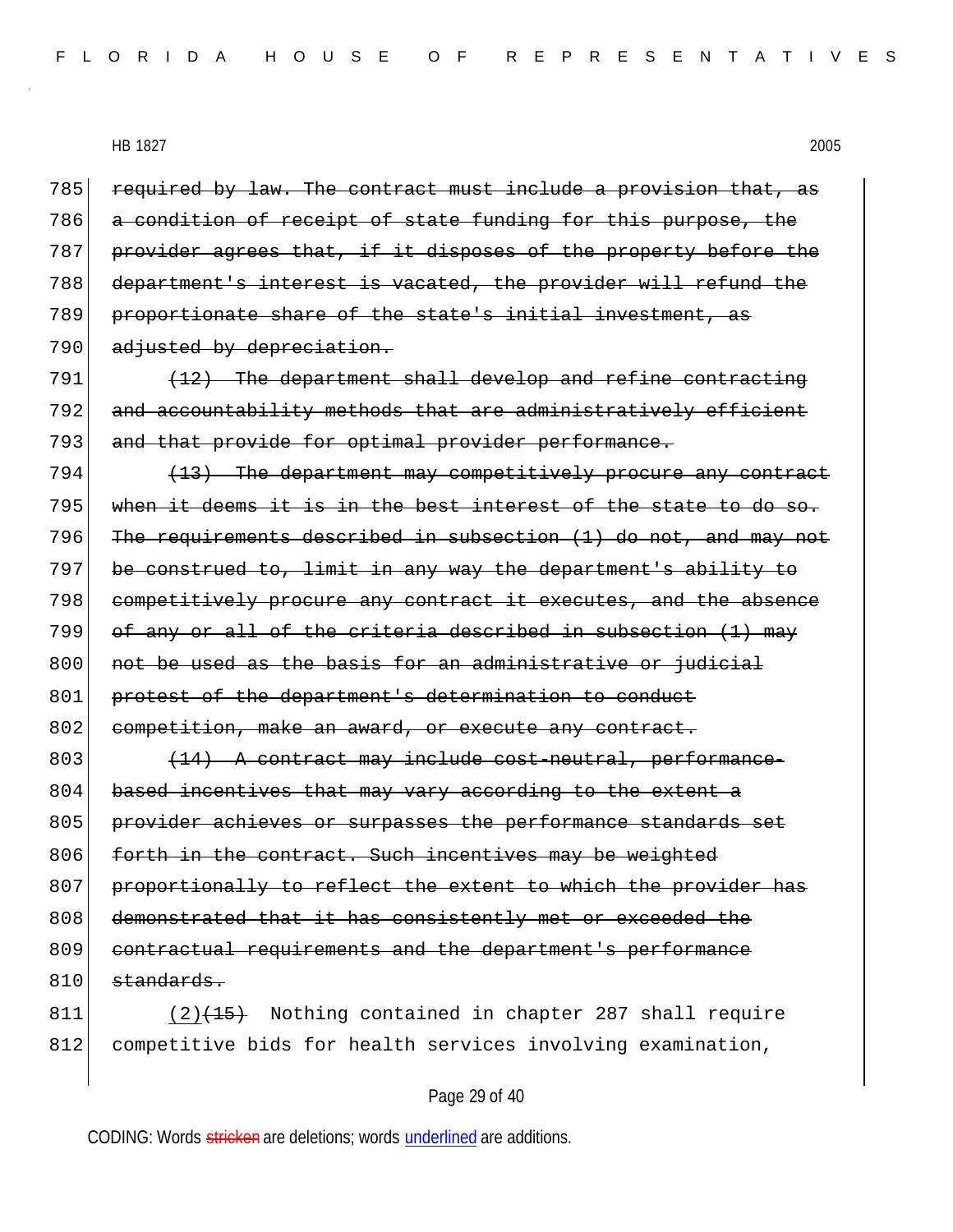required by law. The contract must include a provision that, as a condition of receipt of state funding for this purpose, the 787 provider agrees that, if it disposes of the property before the department's interest is vacated, the provider will refund the proportionate share of the state's initial investment, as 790 adjusted by depreciation.

 $791$  (12) The department shall develop and refine contracting 792 and accountability methods that are administratively efficient 793 and that provide for optimal provider performance.

 $794$  (13) The department may competitively procure any contract 795 when it deems it is in the best interest of the state to do so. 796 The requirements described in subsection  $(1)$  do not, and may not 797 be construed to, limit in any way the department's ability to 798 competitively procure any contract it executes, and the absence  $799$  of any or all of the criteria described in subsection (1) may 800 not be used as the basis for an administrative or judicial 801 protest of the department's determination to conduct 802 competition, make an award, or execute any contract.

803 (14) A contract may include cost-neutral, performance-804 based incentives that may vary according to the extent a 805 provider achieves or surpasses the performance standards set 806 forth in the contract. Such incentives may be weighted 807 proportionally to reflect the extent to which the provider has 808 demonstrated that it has consistently met or exceeded the 809 contractual requirements and the department's performance 810 standards.

811 (2)<del>(15)</del> Nothing contained in chapter 287 shall require 812 competitive bids for health services involving examination,

## Page 29 of 40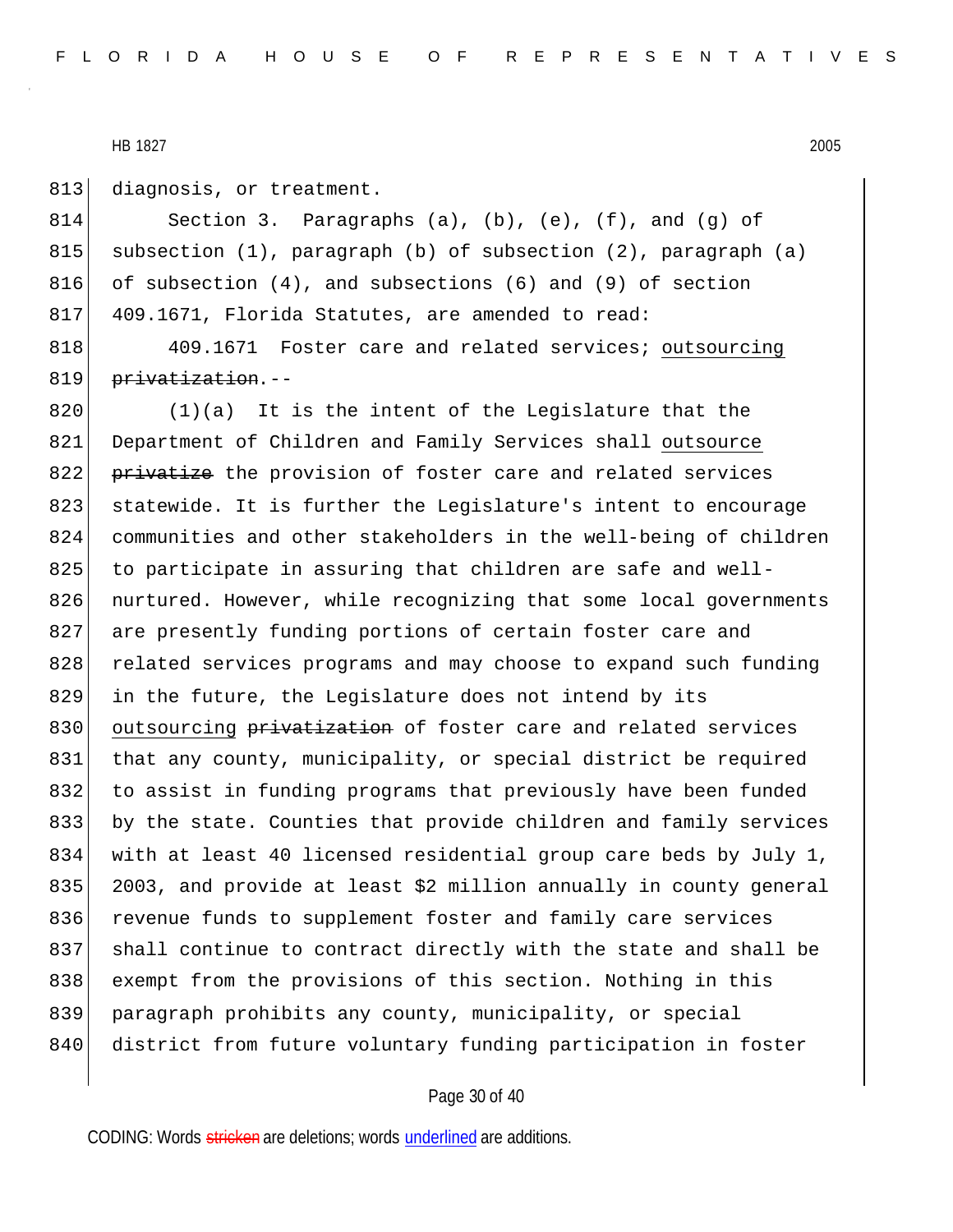813 diagnosis, or treatment.

814 Section 3. Paragraphs (a), (b), (e), (f), and (g) of 815 subsection (1), paragraph (b) of subsection (2), paragraph (a) 816 of subsection  $(4)$ , and subsections  $(6)$  and  $(9)$  of section 817 409.1671, Florida Statutes, are amended to read:

818 409.1671 Foster care and related services; outsourcing 819 privatization.--

 $820$  (1)(a) It is the intent of the Legislature that the 821 Department of Children and Family Services shall outsource 822 privatize the provision of foster care and related services 823 statewide. It is further the Legislature's intent to encourage 824 communities and other stakeholders in the well-being of children 825 to participate in assuring that children are safe and well-826 nurtured. However, while recognizing that some local governments 827 are presently funding portions of certain foster care and 828 related services programs and may choose to expand such funding 829 in the future, the Legislature does not intend by its 830 outsourcing privatization of foster care and related services 831 that any county, municipality, or special district be required 832 to assist in funding programs that previously have been funded 833 by the state. Counties that provide children and family services 834 with at least 40 licensed residential group care beds by July 1, 835 2003, and provide at least \$2 million annually in county general 836 revenue funds to supplement foster and family care services 837 shall continue to contract directly with the state and shall be 838 exempt from the provisions of this section. Nothing in this 839 paragraph prohibits any county, municipality, or special 840 district from future voluntary funding participation in foster

## Page 30 of 40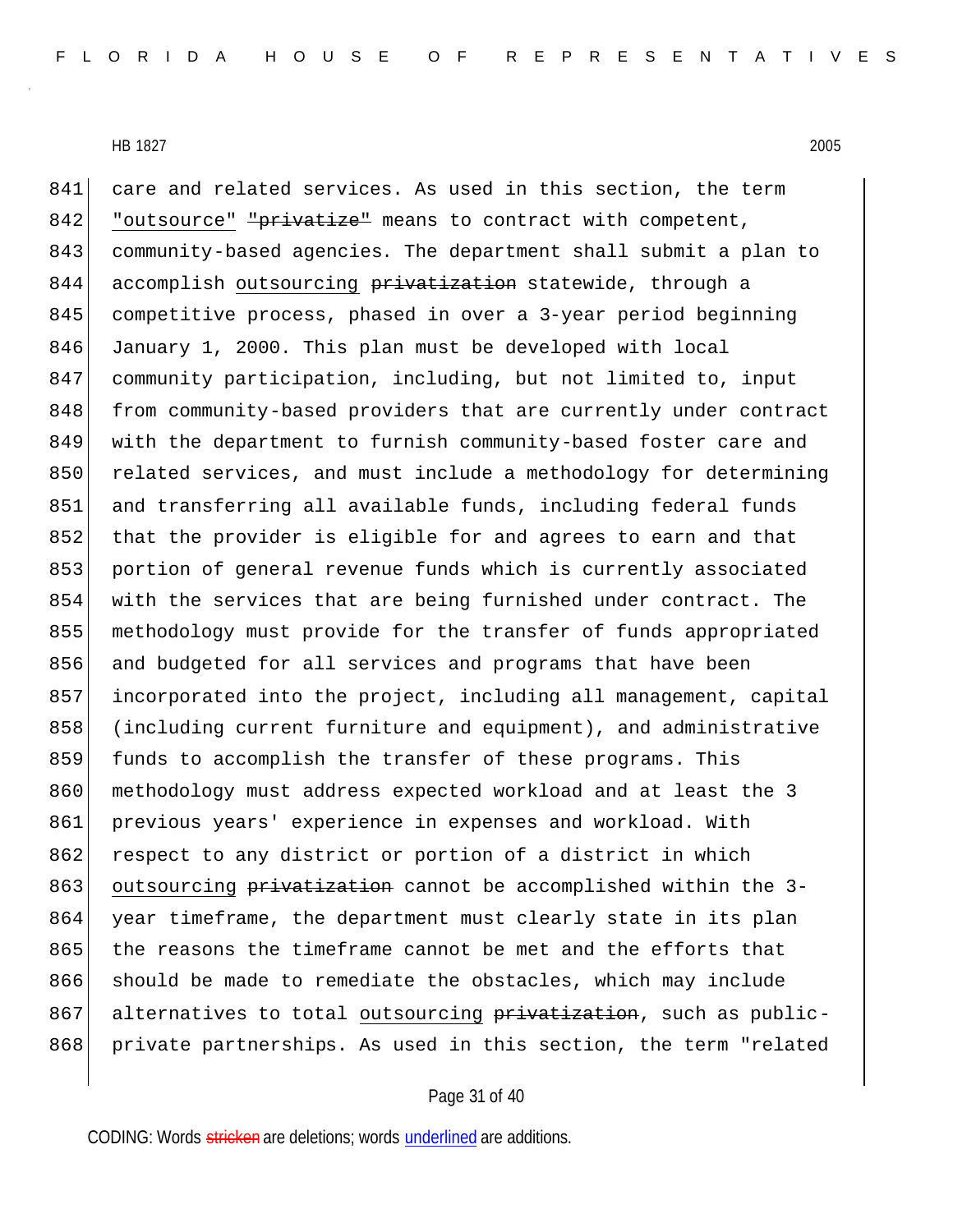841 care and related services. As used in this section, the term 842 "outsource" "privatize" means to contract with competent, 843 community-based agencies. The department shall submit a plan to 844 accomplish outsourcing privatization statewide, through a 845 competitive process, phased in over a 3-year period beginning 846 January 1, 2000. This plan must be developed with local 847 community participation, including, but not limited to, input 848 from community-based providers that are currently under contract 849 with the department to furnish community-based foster care and 850 related services, and must include a methodology for determining 851 and transferring all available funds, including federal funds 852 that the provider is eligible for and agrees to earn and that 853 portion of general revenue funds which is currently associated 854 with the services that are being furnished under contract. The 855 methodology must provide for the transfer of funds appropriated 856 and budgeted for all services and programs that have been 857 incorporated into the project, including all management, capital 858 (including current furniture and equipment), and administrative 859 funds to accomplish the transfer of these programs. This 860 methodology must address expected workload and at least the 3 861 previous years' experience in expenses and workload. With 862 respect to any district or portion of a district in which 863 outsourcing privatization cannot be accomplished within the 3-864 year timeframe, the department must clearly state in its plan 865 the reasons the timeframe cannot be met and the efforts that 866 should be made to remediate the obstacles, which may include 867 alternatives to total outsourcing privatization, such as public-868 private partnerships. As used in this section, the term "related

## Page 31 of 40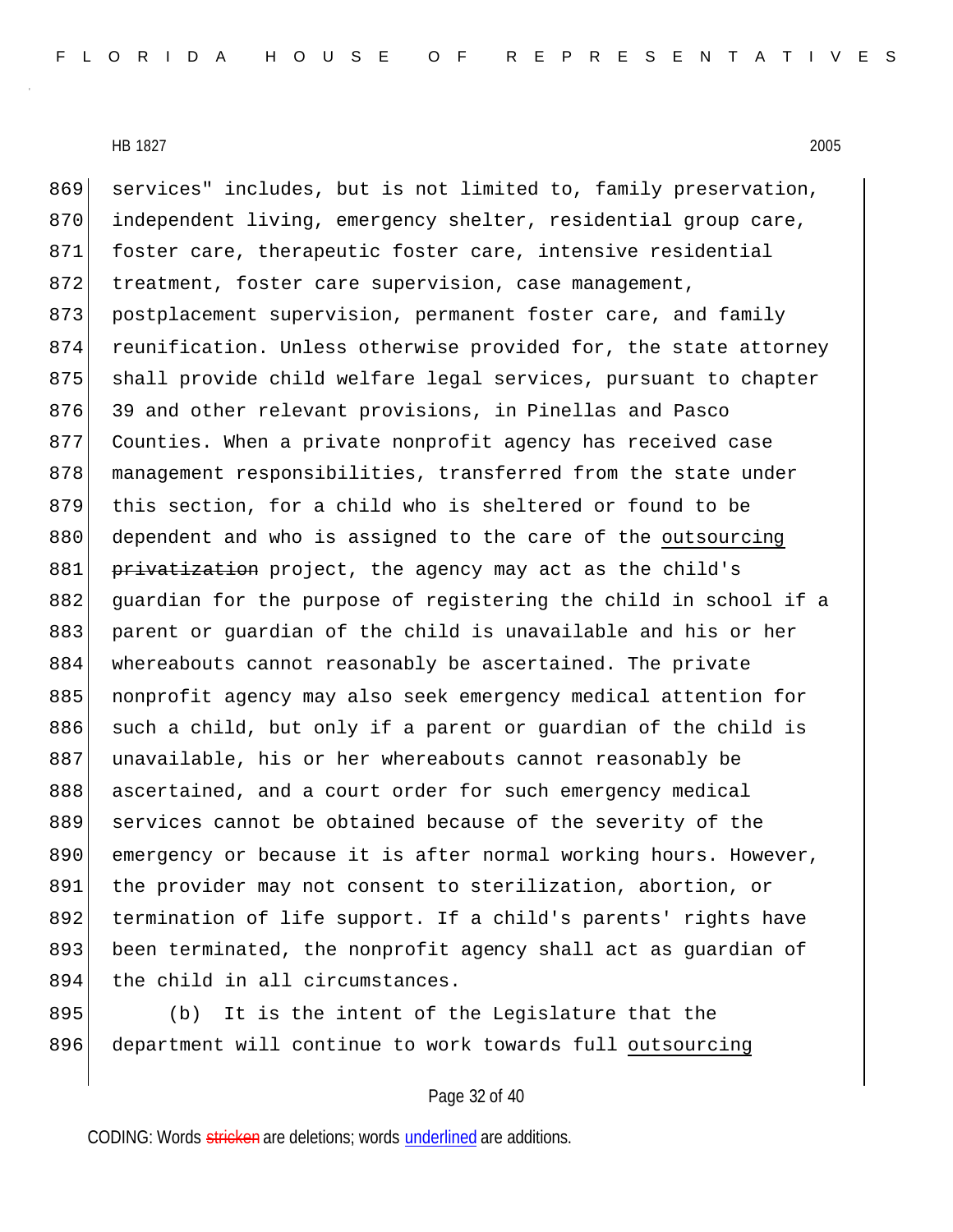869 services" includes, but is not limited to, family preservation, 870 independent living, emergency shelter, residential group care, 871 foster care, therapeutic foster care, intensive residential 872 treatment, foster care supervision, case management, 873 postplacement supervision, permanent foster care, and family 874 reunification. Unless otherwise provided for, the state attorney 875 shall provide child welfare legal services, pursuant to chapter 876 39 and other relevant provisions, in Pinellas and Pasco 877 Counties. When a private nonprofit agency has received case 878 management responsibilities, transferred from the state under 879 this section, for a child who is sheltered or found to be 880 dependent and who is assigned to the care of the outsourcing 881 privatization project, the agency may act as the child's 882 guardian for the purpose of registering the child in school if a 883 parent or guardian of the child is unavailable and his or her 884 whereabouts cannot reasonably be ascertained. The private 885 | nonprofit agency may also seek emergency medical attention for 886 such a child, but only if a parent or guardian of the child is 887 unavailable, his or her whereabouts cannot reasonably be 888 ascertained, and a court order for such emergency medical 889 services cannot be obtained because of the severity of the 890 emergency or because it is after normal working hours. However, 891 the provider may not consent to sterilization, abortion, or 892 termination of life support. If a child's parents' rights have 893 been terminated, the nonprofit agency shall act as guardian of 894 the child in all circumstances.

895 (b) It is the intent of the Legislature that the 896 department will continue to work towards full outsourcing

## Page 32 of 40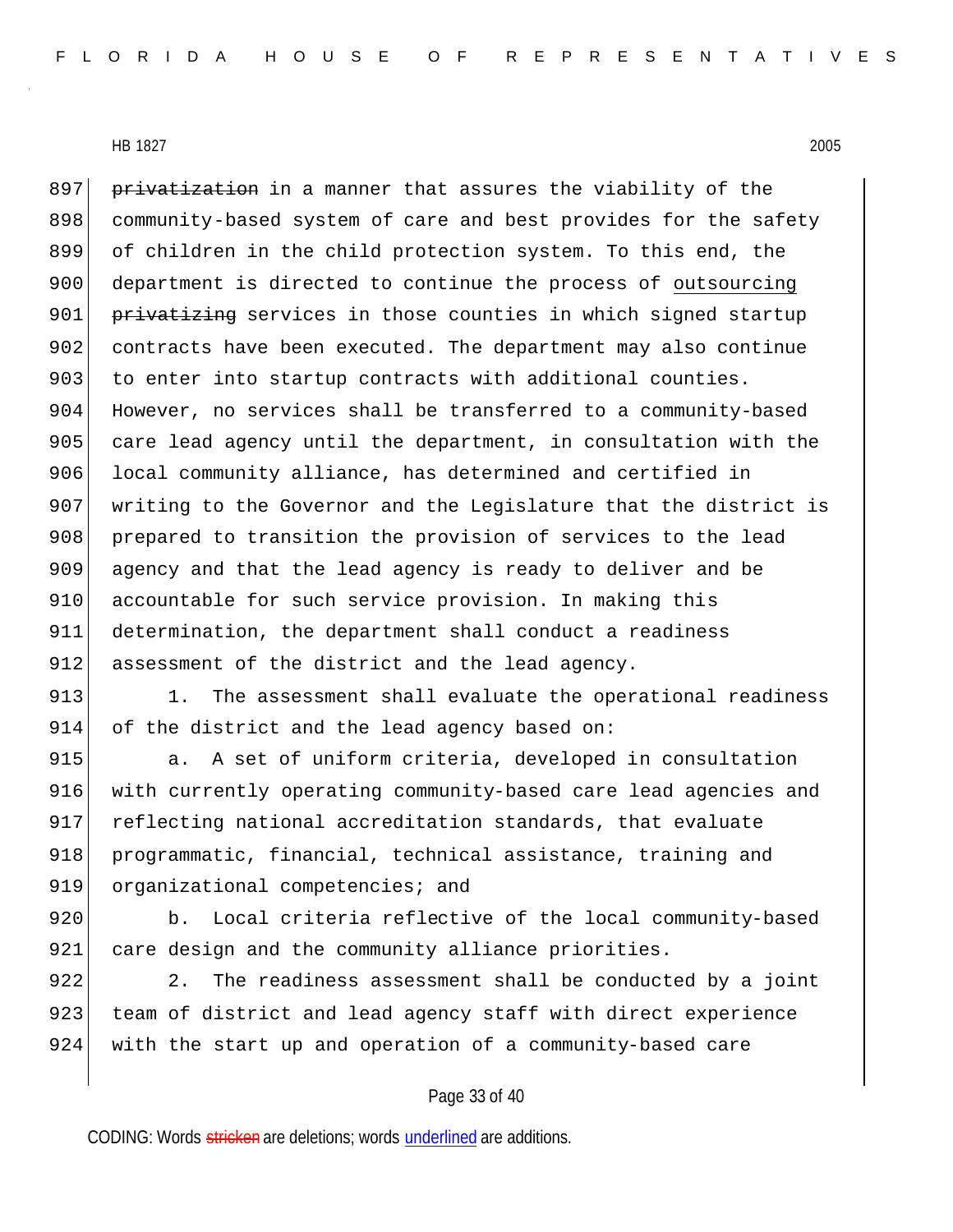897 privatization in a manner that assures the viability of the 898 community-based system of care and best provides for the safety 899 of children in the child protection system. To this end, the 900 department is directed to continue the process of outsourcing 901 privatizing services in those counties in which signed startup 902 contracts have been executed. The department may also continue 903 to enter into startup contracts with additional counties. 904 However, no services shall be transferred to a community-based 905 care lead agency until the department, in consultation with the 906 local community alliance, has determined and certified in 907 writing to the Governor and the Legislature that the district is 908 prepared to transition the provision of services to the lead 909 agency and that the lead agency is ready to deliver and be 910 accountable for such service provision. In making this 911 determination, the department shall conduct a readiness 912 assessment of the district and the lead agency.

913 1. The assessment shall evaluate the operational readiness 914 of the district and the lead agency based on:

915 a. A set of uniform criteria, developed in consultation 916 with currently operating community-based care lead agencies and 917 reflecting national accreditation standards, that evaluate 918 programmatic, financial, technical assistance, training and 919 organizational competencies; and

920 b. Local criteria reflective of the local community-based 921 care design and the community alliance priorities.

922 2. The readiness assessment shall be conducted by a joint 923 team of district and lead agency staff with direct experience 924 with the start up and operation of a community-based care

## Page 33 of 40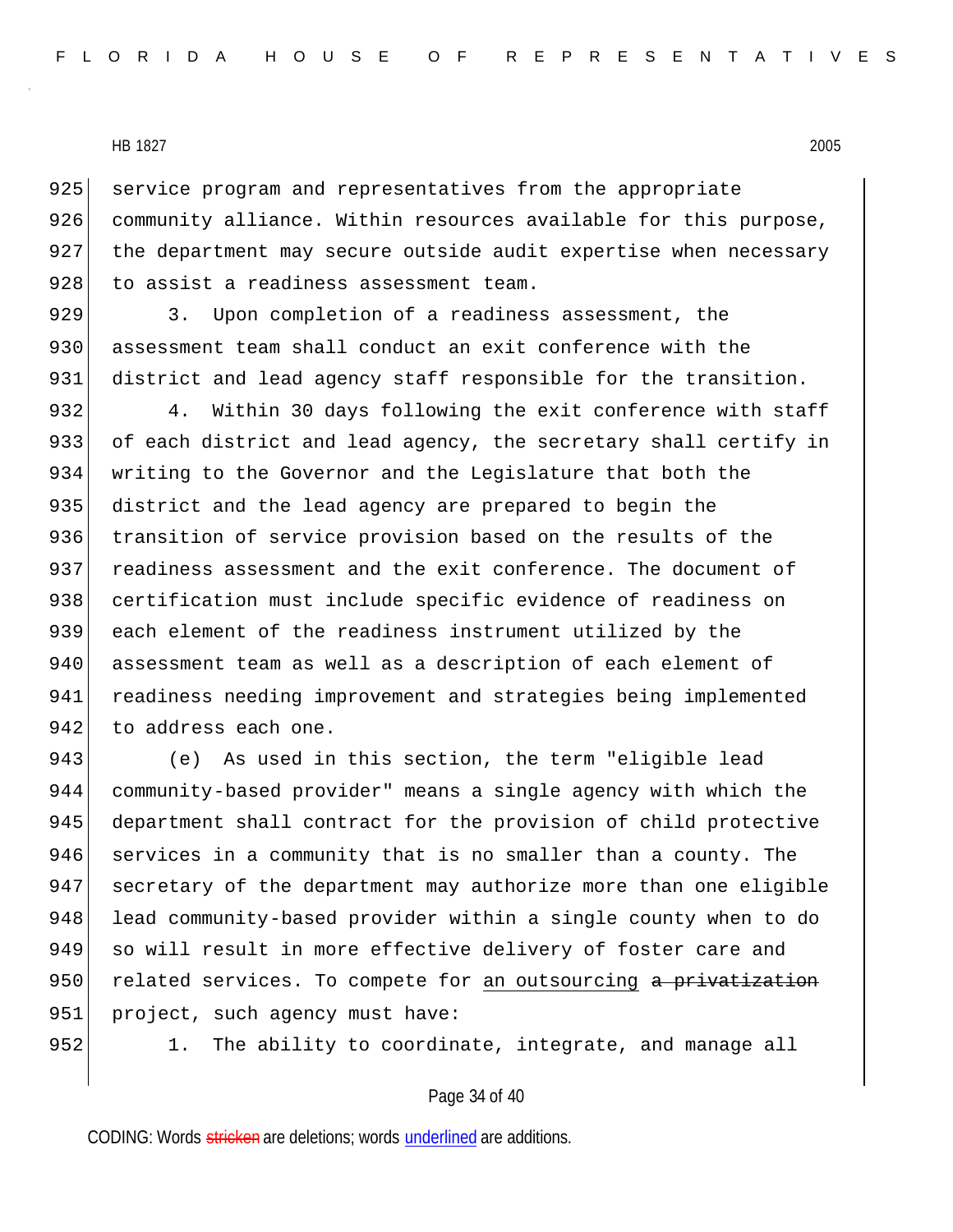925 service program and representatives from the appropriate 926 community alliance. Within resources available for this purpose, 927 the department may secure outside audit expertise when necessary 928 to assist a readiness assessment team.

929 3. Upon completion of a readiness assessment, the 930 assessment team shall conduct an exit conference with the 931 district and lead agency staff responsible for the transition.

932 4. Within 30 days following the exit conference with staff 933 of each district and lead agency, the secretary shall certify in 934 writing to the Governor and the Legislature that both the 935 district and the lead agency are prepared to begin the 936 transition of service provision based on the results of the 937 readiness assessment and the exit conference. The document of 938 certification must include specific evidence of readiness on 939 each element of the readiness instrument utilized by the 940 assessment team as well as a description of each element of 941 readiness needing improvement and strategies being implemented 942 to address each one.

943 (e) As used in this section, the term "eligible lead 944 community-based provider" means a single agency with which the 945 department shall contract for the provision of child protective 946 services in a community that is no smaller than a county. The 947 secretary of the department may authorize more than one eligible 948 lead community-based provider within a single county when to do 949 so will result in more effective delivery of foster care and 950 related services. To compete for an outsourcing a privatization 951 | project, such agency must have:

 $952$  1. The ability to coordinate, integrate, and manage all

## Page 34 of 40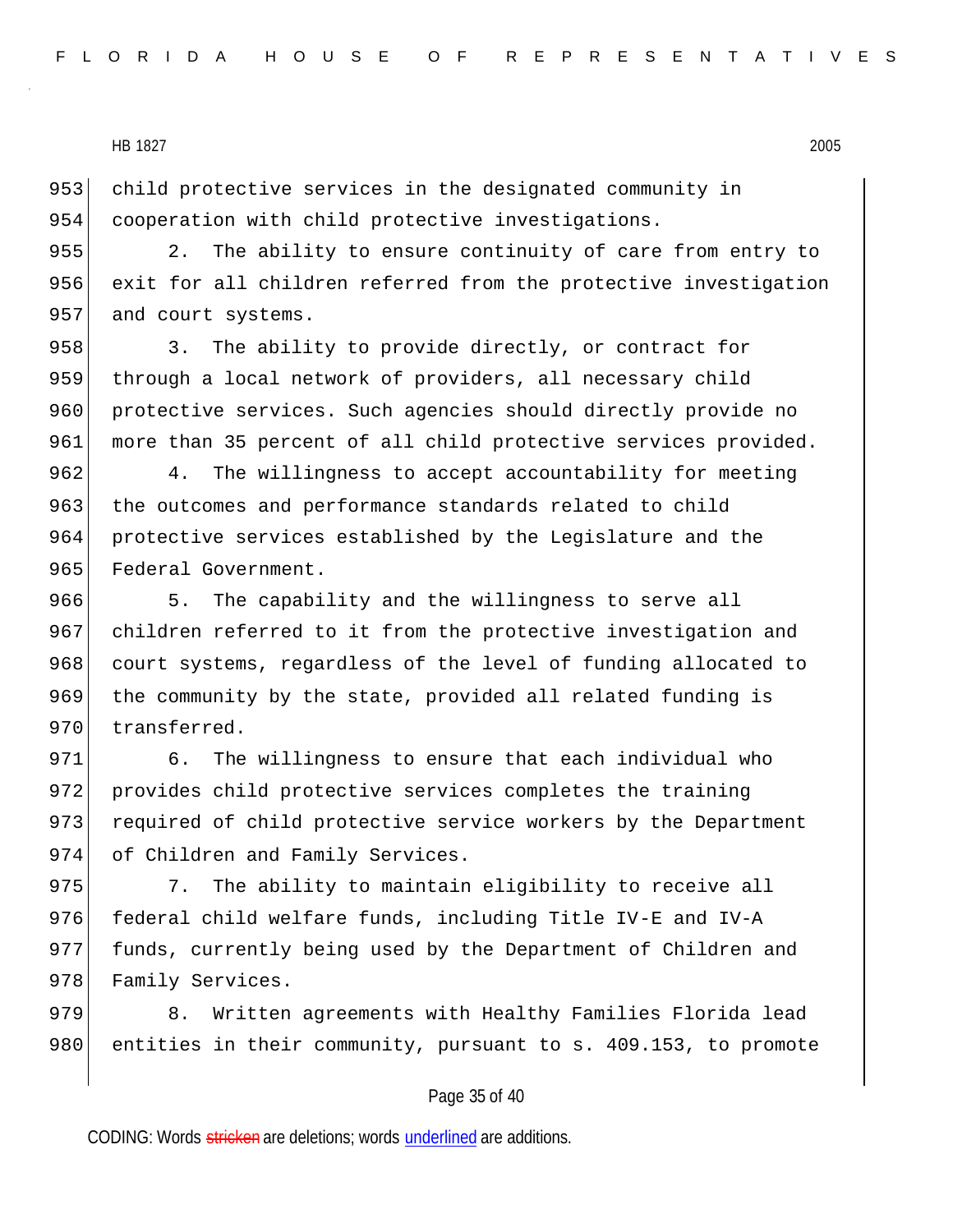953 child protective services in the designated community in 954 cooperation with child protective investigations.

955 2. The ability to ensure continuity of care from entry to 956 exit for all children referred from the protective investigation 957 and court systems.

958 3. The ability to provide directly, or contract for 959 through a local network of providers, all necessary child 960 protective services. Such agencies should directly provide no 961 more than 35 percent of all child protective services provided.

962 4. The willingness to accept accountability for meeting 963 the outcomes and performance standards related to child 964 protective services established by the Legislature and the 965 Federal Government.

966 5. The capability and the willingness to serve all 967 children referred to it from the protective investigation and 968 court systems, regardless of the level of funding allocated to 969 the community by the state, provided all related funding is 970 transferred.

971 6. The willingness to ensure that each individual who 972 provides child protective services completes the training 973 required of child protective service workers by the Department 974 of Children and Family Services.

975 3. The ability to maintain eligibility to receive all 976 federal child welfare funds, including Title IV-E and IV-A 977 funds, currently being used by the Department of Children and 978 Family Services.

979 8. Written agreements with Healthy Families Florida lead 980 entities in their community, pursuant to s. 409.153, to promote

## Page 35 of 40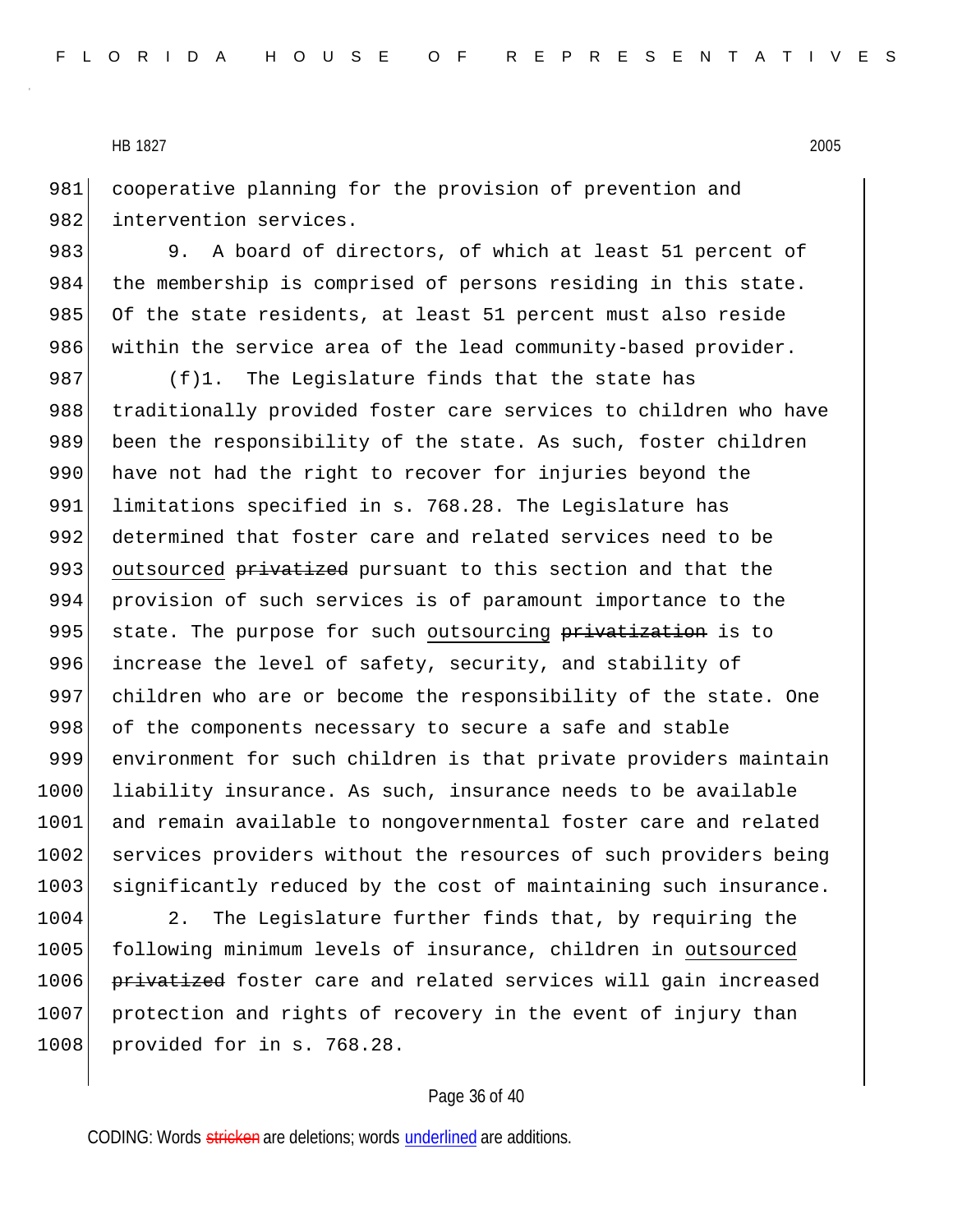981 cooperative planning for the provision of prevention and 982 intervention services.

983 983 9. A board of directors, of which at least 51 percent of 984 the membership is comprised of persons residing in this state. 985 Of the state residents, at least 51 percent must also reside 986 within the service area of the lead community-based provider.

987  $(f)$ 1. The Legislature finds that the state has 988 traditionally provided foster care services to children who have 989 been the responsibility of the state. As such, foster children 990 have not had the right to recover for injuries beyond the 991 limitations specified in s. 768.28. The Legislature has 992 determined that foster care and related services need to be 993 outsourced privatized pursuant to this section and that the 994 provision of such services is of paramount importance to the 995 state. The purpose for such outsourcing privatization is to 996 increase the level of safety, security, and stability of 997 children who are or become the responsibility of the state. One 998 of the components necessary to secure a safe and stable 999 environment for such children is that private providers maintain 1000 liability insurance. As such, insurance needs to be available 1001 and remain available to nongovernmental foster care and related 1002 services providers without the resources of such providers being 1003 significantly reduced by the cost of maintaining such insurance.

1004 2. The Legislature further finds that, by requiring the 1005 following minimum levels of insurance, children in outsourced 1006 privatized foster care and related services will gain increased 1007 protection and rights of recovery in the event of injury than 1008 provided for in s. 768.28.

#### Page 36 of 40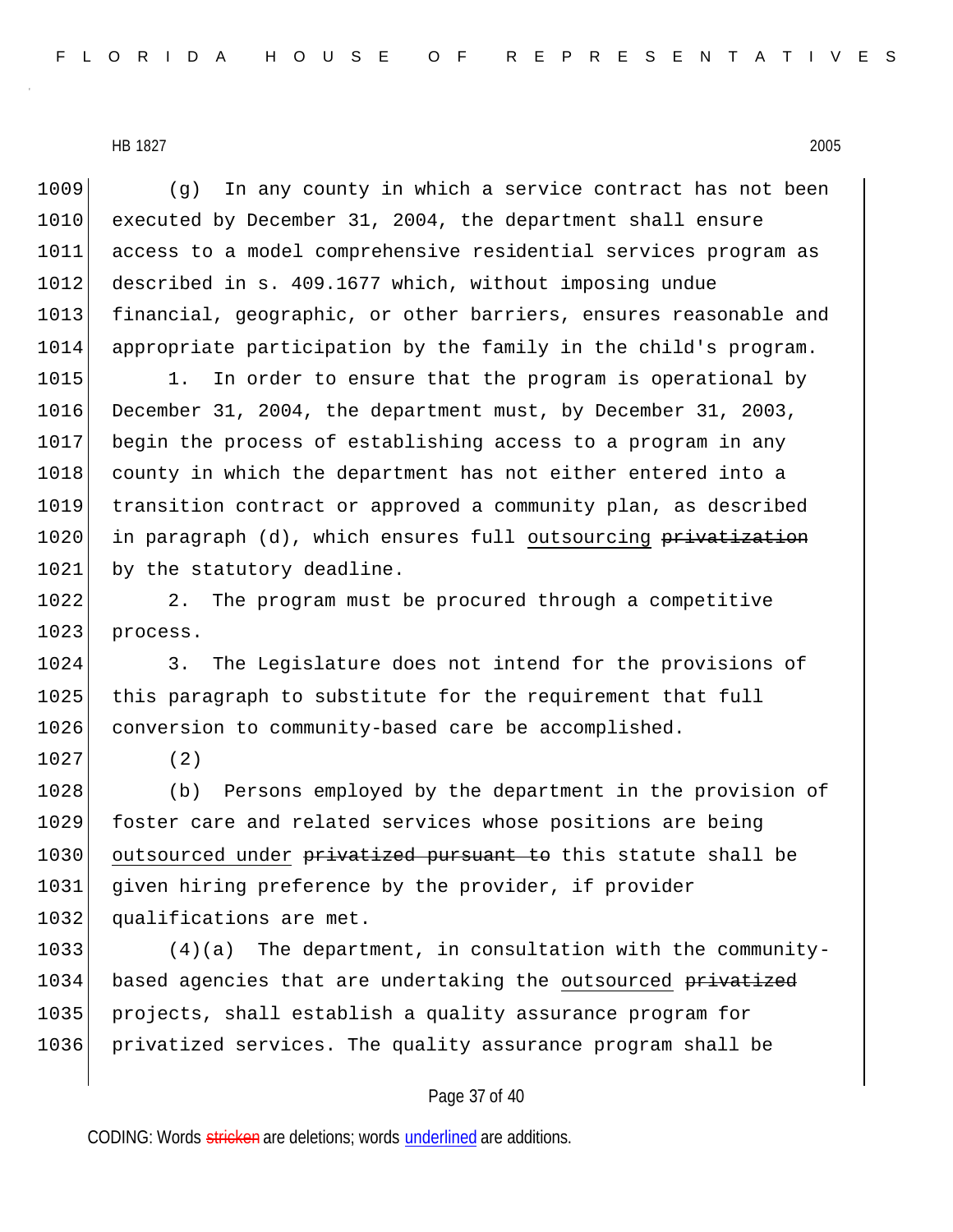(g) In any county in which a service contract has not been executed by December 31, 2004, the department shall ensure access to a model comprehensive residential services program as 1012 described in s. 409.1677 which, without imposing undue 1013 financial, geographic, or other barriers, ensures reasonable and appropriate participation by the family in the child's program.

1015 1. In order to ensure that the program is operational by 1016 December 31, 2004, the department must, by December 31, 2003, 1017 begin the process of establishing access to a program in any 1018 county in which the department has not either entered into a 1019 transition contract or approved a community plan, as described 1020 in paragraph (d), which ensures full outsourcing privatization 1021 by the statutory deadline.

1022 2. The program must be procured through a competitive 1023 process.

1024 3. The Legislature does not intend for the provisions of 1025 this paragraph to substitute for the requirement that full 1026 conversion to community-based care be accomplished.

1027 (2)

1028 (b) Persons employed by the department in the provision of 1029 foster care and related services whose positions are being 1030 outsourced under privatized pursuant to this statute shall be 1031 given hiring preference by the provider, if provider 1032 qualifications are met.

1033 (4)(a) The department, in consultation with the community-1034 based agencies that are undertaking the outsourced privatized 1035 projects, shall establish a quality assurance program for 1036 privatized services. The quality assurance program shall be

## Page 37 of 40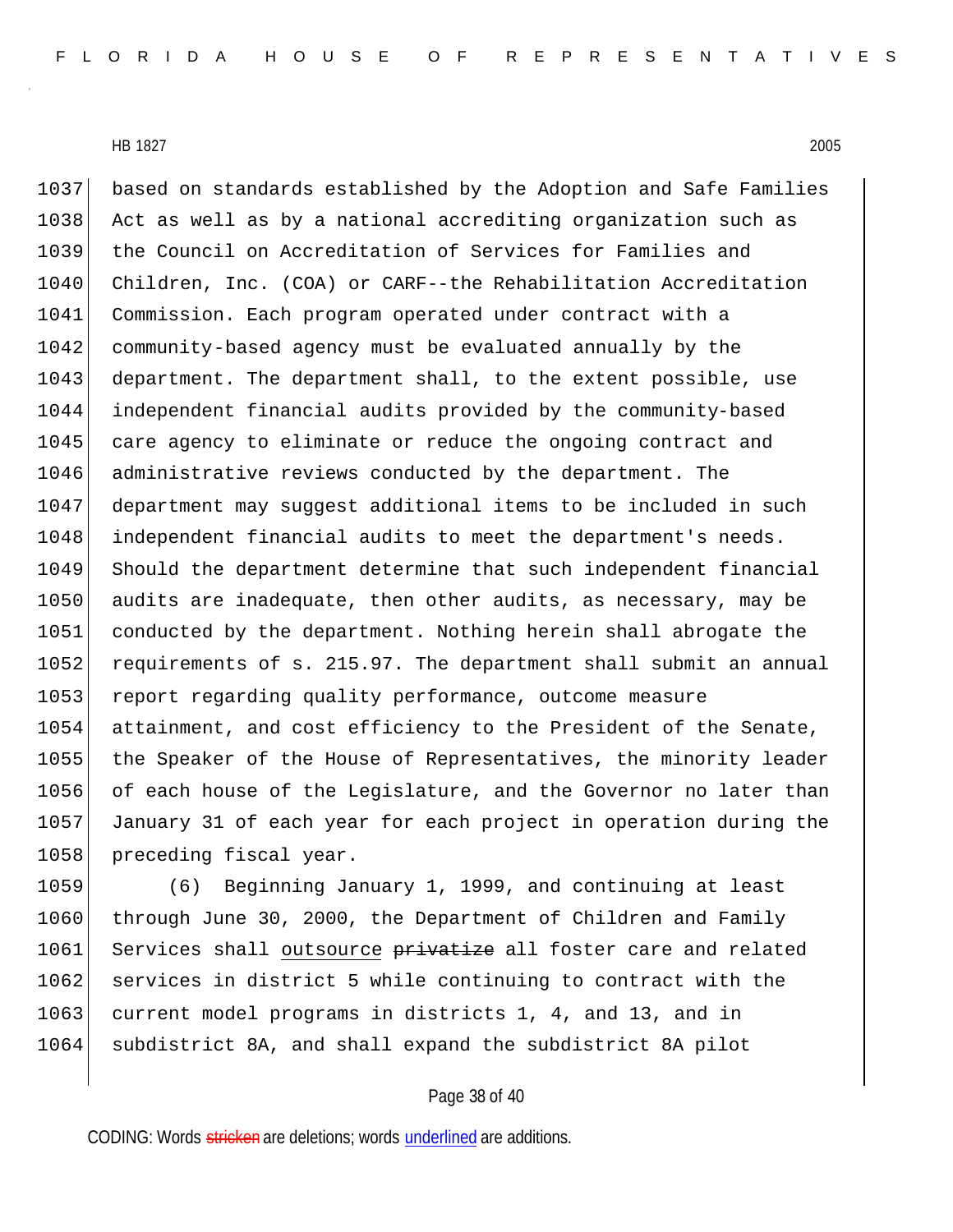1037 based on standards established by the Adoption and Safe Families 1038 Act as well as by a national accrediting organization such as 1039 the Council on Accreditation of Services for Families and 1040 Children, Inc. (COA) or CARF--the Rehabilitation Accreditation 1041 Commission. Each program operated under contract with a 1042 community-based agency must be evaluated annually by the 1043 department. The department shall, to the extent possible, use 1044 independent financial audits provided by the community-based 1045 care agency to eliminate or reduce the ongoing contract and 1046 administrative reviews conducted by the department. The 1047 department may suggest additional items to be included in such 1048 independent financial audits to meet the department's needs. 1049 Should the department determine that such independent financial 1050 audits are inadequate, then other audits, as necessary, may be 1051 conducted by the department. Nothing herein shall abrogate the 1052 requirements of s. 215.97. The department shall submit an annual 1053 report regarding quality performance, outcome measure 1054 attainment, and cost efficiency to the President of the Senate, 1055 the Speaker of the House of Representatives, the minority leader 1056 of each house of the Legislature, and the Governor no later than 1057 January 31 of each year for each project in operation during the 1058 preceding fiscal year.

1059 (6) Beginning January 1, 1999, and continuing at least 1060 through June 30, 2000, the Department of Children and Family 1061 Services shall outsource privatize all foster care and related 1062 services in district 5 while continuing to contract with the 1063 current model programs in districts 1, 4, and 13, and in 1064 subdistrict 8A, and shall expand the subdistrict 8A pilot

## Page 38 of 40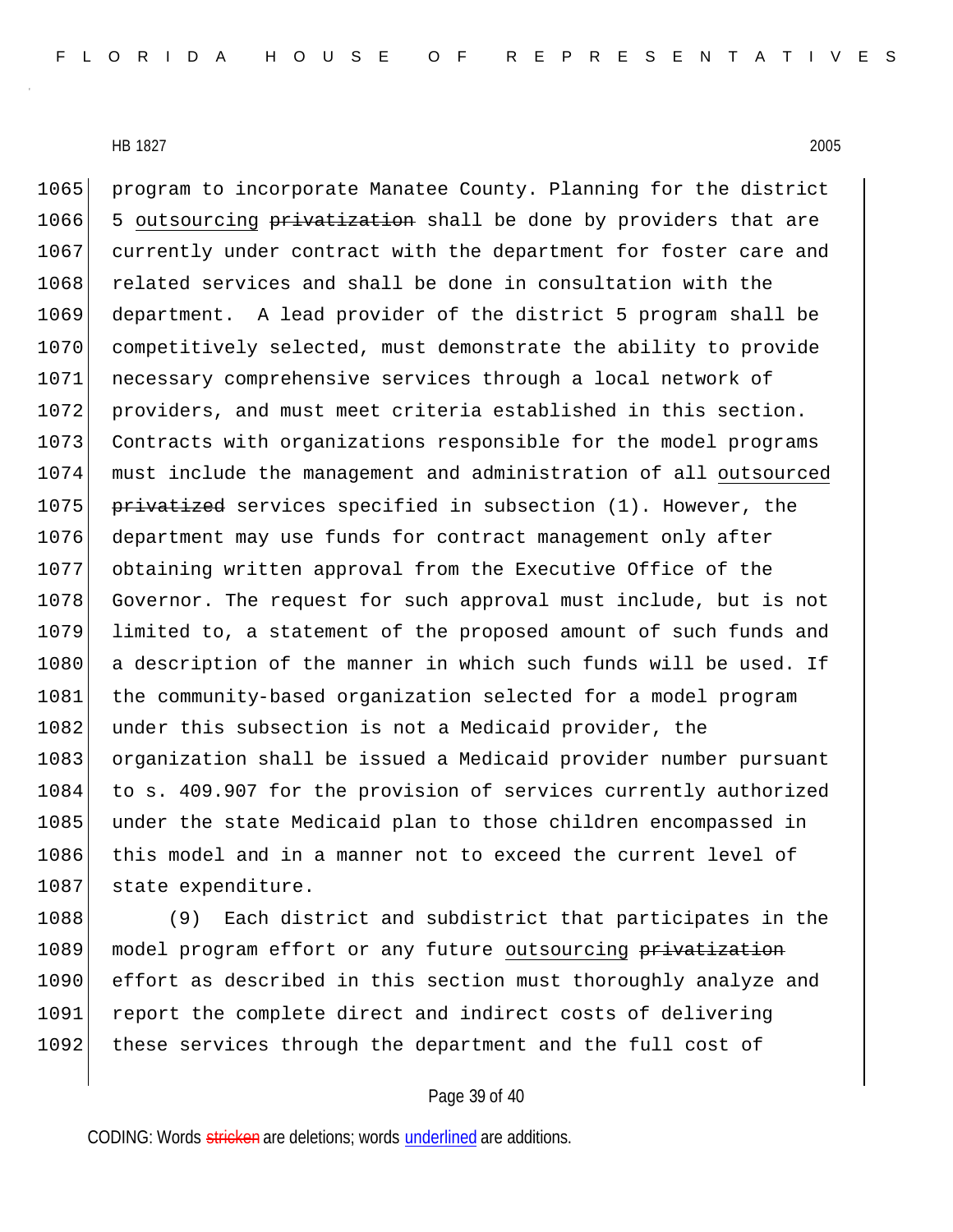1065 program to incorporate Manatee County. Planning for the district 1066 5 outsourcing privatization shall be done by providers that are 1067 currently under contract with the department for foster care and 1068 related services and shall be done in consultation with the 1069 department. A lead provider of the district 5 program shall be 1070 competitively selected, must demonstrate the ability to provide 1071 necessary comprehensive services through a local network of 1072 providers, and must meet criteria established in this section. 1073 Contracts with organizations responsible for the model programs 1074 must include the management and administration of all outsourced 1075 **privatized** services specified in subsection (1). However, the 1076 department may use funds for contract management only after 1077 obtaining written approval from the Executive Office of the 1078 Governor. The request for such approval must include, but is not 1079 limited to, a statement of the proposed amount of such funds and 1080 a description of the manner in which such funds will be used. If 1081 the community-based organization selected for a model program 1082 under this subsection is not a Medicaid provider, the 1083 organization shall be issued a Medicaid provider number pursuant 1084 to s. 409.907 for the provision of services currently authorized 1085 under the state Medicaid plan to those children encompassed in 1086 this model and in a manner not to exceed the current level of 1087 state expenditure.

1088 (9) Each district and subdistrict that participates in the 1089 model program effort or any future outsourcing privatization 1090 effort as described in this section must thoroughly analyze and 1091 report the complete direct and indirect costs of delivering 1092 these services through the department and the full cost of

## Page 39 of 40